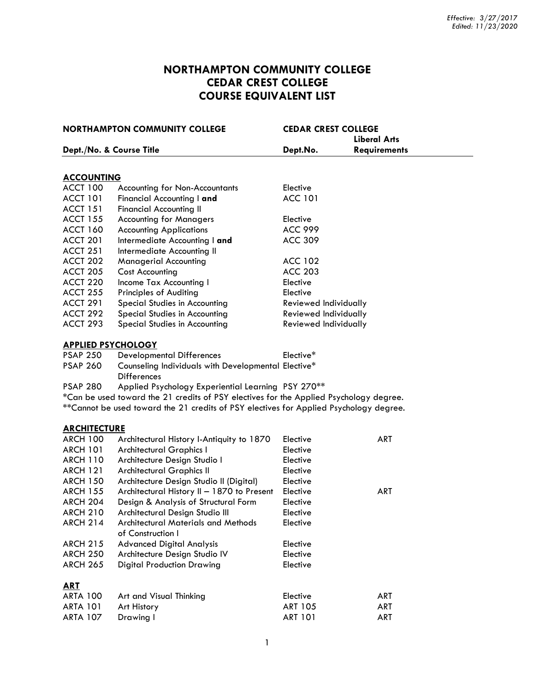# **NORTHAMPTON COMMUNITY COLLEGE CEDAR CREST COLLEGE COURSE EQUIVALENT LIST**

| <b>NORTHAMPTON COMMUNITY COLLEGE</b> |                                                                                         | <b>CEDAR CREST COLLEGE</b> |                     |  |  |
|--------------------------------------|-----------------------------------------------------------------------------------------|----------------------------|---------------------|--|--|
|                                      |                                                                                         | <b>Liberal Arts</b>        |                     |  |  |
|                                      | Dept./No. & Course Title                                                                | Dept.No.                   | <b>Requirements</b> |  |  |
|                                      |                                                                                         |                            |                     |  |  |
| <b>ACCOUNTING</b>                    |                                                                                         |                            |                     |  |  |
| <b>ACCT 100</b>                      | Accounting for Non-Accountants                                                          | Elective                   |                     |  |  |
| <b>ACCT 101</b>                      | Financial Accounting I and                                                              | <b>ACC 101</b>             |                     |  |  |
| <b>ACCT 151</b>                      | <b>Financial Accounting II</b>                                                          |                            |                     |  |  |
| <b>ACCT 155</b>                      | <b>Accounting for Managers</b>                                                          | Elective                   |                     |  |  |
| <b>ACCT 160</b>                      | <b>Accounting Applications</b>                                                          | <b>ACC 999</b>             |                     |  |  |
| <b>ACCT 201</b>                      | Intermediate Accounting I and                                                           | <b>ACC 309</b>             |                     |  |  |
| <b>ACCT 251</b>                      | Intermediate Accounting II                                                              |                            |                     |  |  |
| ACCT 202                             | <b>Managerial Accounting</b>                                                            | <b>ACC 102</b>             |                     |  |  |
| <b>ACCT 205</b>                      | <b>Cost Accounting</b>                                                                  | <b>ACC 203</b>             |                     |  |  |
| ACCT 220                             | Income Tax Accounting I                                                                 | Elective                   |                     |  |  |
| <b>ACCT 255</b>                      | <b>Principles of Auditing</b>                                                           | Elective                   |                     |  |  |
| <b>ACCT 291</b>                      | Special Studies in Accounting                                                           | Reviewed Individually      |                     |  |  |
| ACCT 292                             | Special Studies in Accounting                                                           | Reviewed Individually      |                     |  |  |
| ACCT 293                             | Special Studies in Accounting                                                           | Reviewed Individually      |                     |  |  |
|                                      | <b>APPLIED PSYCHOLOGY</b>                                                               |                            |                     |  |  |
| <b>PSAP 250</b>                      | <b>Developmental Differences</b>                                                        | Elective*                  |                     |  |  |
| <b>PSAP 260</b>                      | Counseling Individuals with Developmental Elective*<br><b>Differences</b>               |                            |                     |  |  |
| <b>PSAP 280</b>                      | Applied Psychology Experiential Learning PSY 270**                                      |                            |                     |  |  |
|                                      | *Can be used toward the 21 credits of PSY electives for the Applied Psychology degree.  |                            |                     |  |  |
|                                      | ** Cannot be used toward the 21 credits of PSY electives for Applied Psychology degree. |                            |                     |  |  |
| <b>ARCHITECTURE</b>                  |                                                                                         |                            |                     |  |  |
| <b>ARCH 100</b>                      | Architectural History I-Antiquity to 1870                                               | Elective                   | <b>ART</b>          |  |  |
| <b>ARCH 101</b>                      | <b>Architectural Graphics I</b>                                                         | Elective                   |                     |  |  |
| <b>ARCH 110</b>                      | Architecture Design Studio I                                                            | Elective                   |                     |  |  |
| <b>ARCH 121</b>                      | <b>Architectural Graphics II</b>                                                        | Elective                   |                     |  |  |
| <b>ARCH 150</b>                      | Architecture Design Studio II (Digital)                                                 | Elective                   |                     |  |  |
| <b>ARCH 155</b>                      | Architectural History II - 1870 to Present                                              | Elective                   | <b>ART</b>          |  |  |
| <b>ARCH 204</b>                      | Design & Analysis of Structural Form                                                    | Elective                   |                     |  |  |
| <b>ARCH 210</b>                      | Architectural Design Studio III                                                         | Elective                   |                     |  |  |
| <b>ARCH 214</b>                      | <b>Architectural Materials and Methods</b>                                              | Elective                   |                     |  |  |
|                                      | of Construction I                                                                       |                            |                     |  |  |
| <b>ARCH 215</b>                      | <b>Advanced Digital Analysis</b>                                                        | Elective                   |                     |  |  |
| <b>ARCH 250</b>                      | Architecture Design Studio IV                                                           | Elective                   |                     |  |  |
| <b>ARCH 265</b>                      | <b>Digital Production Drawing</b>                                                       | Elective                   |                     |  |  |
| <u>ART</u>                           |                                                                                         |                            |                     |  |  |
| <b>ARTA 100</b>                      | Art and Visual Thinking                                                                 | Elective                   | <b>ART</b>          |  |  |
| <b>ARTA 101</b>                      | Art History                                                                             | <b>ART 105</b>             | ART                 |  |  |
| <b>ARTA 107</b>                      | Drawing I                                                                               | <b>ART 101</b>             | ART                 |  |  |
|                                      |                                                                                         |                            |                     |  |  |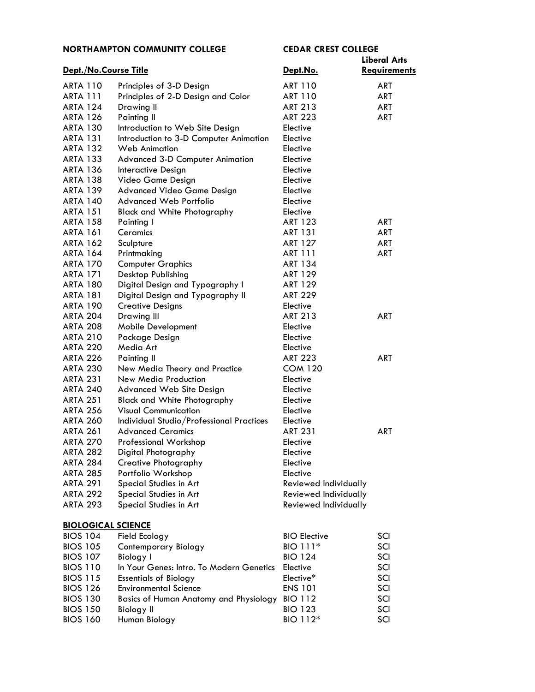|                           | <b>NORTHAMPTON COMMUNITY COLLEGE</b>          | <b>CEDAR CREST COLLEGE</b> |                     |
|---------------------------|-----------------------------------------------|----------------------------|---------------------|
|                           |                                               |                            | Liberal Arts        |
| Dept./No.Course Title     |                                               | Dept.No.                   | <b>Requirements</b> |
| <b>ARTA 110</b>           | Principles of 3-D Design                      | <b>ART 110</b>             | <b>ART</b>          |
| <b>ARTA 111</b>           | Principles of 2-D Design and Color            | <b>ART 110</b>             | <b>ART</b>          |
| <b>ARTA 124</b>           | Drawing II                                    | <b>ART 213</b>             | <b>ART</b>          |
| <b>ARTA 126</b>           | <b>Painting II</b>                            | <b>ART 223</b>             | ART                 |
| <b>ARTA 130</b>           | Introduction to Web Site Design               | Elective                   |                     |
| <b>ARTA 131</b>           | Introduction to 3-D Computer Animation        | Elective                   |                     |
| <b>ARTA 132</b>           | <b>Web Animation</b>                          | Elective                   |                     |
| <b>ARTA 133</b>           | <b>Advanced 3-D Computer Animation</b>        | Elective                   |                     |
| <b>ARTA 136</b>           | Interactive Design                            | Elective                   |                     |
| <b>ARTA 138</b>           | Video Game Design                             | Elective                   |                     |
| <b>ARTA 139</b>           | <b>Advanced Video Game Design</b>             | Elective                   |                     |
| <b>ARTA 140</b>           | <b>Advanced Web Portfolio</b>                 | Elective                   |                     |
| <b>ARTA 151</b>           | <b>Black and White Photography</b>            | Elective                   |                     |
| <b>ARTA 158</b>           | Painting I                                    | <b>ART 123</b>             | <b>ART</b>          |
| <b>ARTA 161</b>           | <b>Ceramics</b>                               | <b>ART 131</b>             | <b>ART</b>          |
| <b>ARTA 162</b>           | Sculpture                                     | <b>ART 127</b>             | <b>ART</b>          |
| <b>ARTA 164</b>           | Printmaking                                   | <b>ART 111</b>             | <b>ART</b>          |
| <b>ARTA 170</b>           | <b>Computer Graphics</b>                      | <b>ART 134</b>             |                     |
| <b>ARTA 171</b>           | Desktop Publishing                            | <b>ART 129</b>             |                     |
| <b>ARTA 180</b>           | Digital Design and Typography I               | <b>ART 129</b>             |                     |
| <b>ARTA 181</b>           | Digital Design and Typography II              | <b>ART 229</b>             |                     |
| <b>ARTA 190</b>           | <b>Creative Designs</b>                       | Elective                   |                     |
| <b>ARTA 204</b>           | Drawing III                                   | <b>ART 213</b>             | <b>ART</b>          |
| <b>ARTA 208</b>           | <b>Mobile Development</b>                     | Elective                   |                     |
| <b>ARTA 210</b>           | Package Design                                | Elective                   |                     |
| <b>ARTA 220</b>           | Media Art                                     | Elective                   |                     |
| <b>ARTA 226</b>           | <b>Painting II</b>                            | <b>ART 223</b>             | <b>ART</b>          |
| <b>ARTA 230</b>           | New Media Theory and Practice                 | <b>COM 120</b>             |                     |
| <b>ARTA 231</b>           | New Media Production                          | Elective                   |                     |
| <b>ARTA 240</b>           | <b>Advanced Web Site Design</b>               | Elective                   |                     |
| <b>ARTA 251</b>           | <b>Black and White Photography</b>            | Elective                   |                     |
| <b>ARTA 256</b>           | <b>Visual Communication</b>                   | Elective                   |                     |
| <b>ARTA 260</b>           | Individual Studio/Professional Practices      | Elective                   |                     |
| ARTA 261                  | Advanced Ceramics                             | <b>ART 231</b>             | <b>ART</b>          |
| <b>ARTA 270</b>           | <b>Professional Workshop</b>                  | Elective                   |                     |
| <b>ARTA 282</b>           | Digital Photography                           | Elective                   |                     |
| <b>ARTA 284</b>           | Creative Photography                          | Elective                   |                     |
| <b>ARTA 285</b>           | Portfolio Workshop                            | Elective                   |                     |
| <b>ARTA 291</b>           | Special Studies in Art                        | Reviewed Individually      |                     |
| <b>ARTA 292</b>           | Special Studies in Art                        | Reviewed Individually      |                     |
| <b>ARTA 293</b>           | Special Studies in Art                        | Reviewed Individually      |                     |
|                           |                                               |                            |                     |
| <b>BIOLOGICAL SCIENCE</b> |                                               |                            |                     |
| <b>BIOS 104</b>           | Field Ecology                                 | <b>BIO Elective</b>        | SCI                 |
| <b>BIOS 105</b>           | Contemporary Biology                          | BIO 111*                   | SCI                 |
| <b>BIOS 107</b>           | <b>Biology I</b>                              | <b>BIO 124</b>             | SCI                 |
| <b>BIOS 110</b>           | In Your Genes: Intro. To Modern Genetics      | Elective                   | SCI                 |
| <b>BIOS 115</b>           | <b>Essentials of Biology</b>                  | Elective*                  | SCI                 |
| <b>BIOS 126</b>           | <b>Environmental Science</b>                  | <b>ENS 101</b>             | SCI                 |
| <b>BIOS 130</b>           | <b>Basics of Human Anatomy and Physiology</b> | <b>BIO 112</b>             | SCI                 |
| <b>BIOS 150</b>           | <b>Biology II</b>                             | <b>BIO 123</b>             | SCI                 |

BIOS 160 Human Biology BIO 112<sup>\*</sup> SCI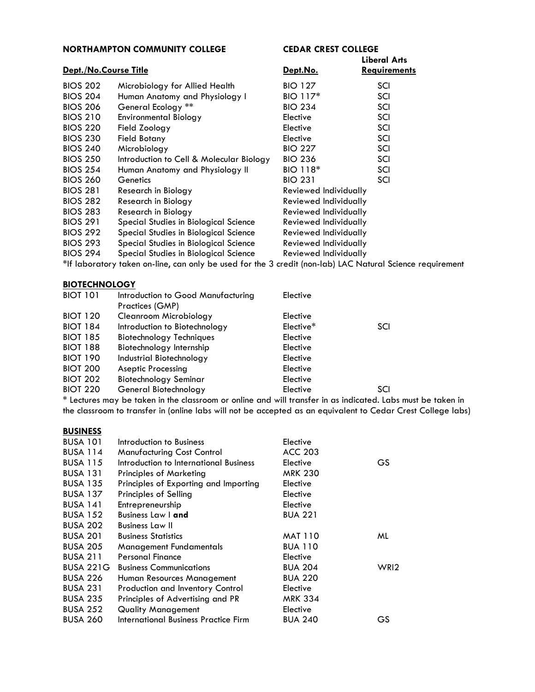| <b>NORTHAMPTON COMMUNITY COLLEGE</b> |                                          | <b>CEDAR CREST COLLEGE</b>   |                                            |
|--------------------------------------|------------------------------------------|------------------------------|--------------------------------------------|
| Dept./No.Course Title                |                                          | Dept.No.                     | <b>Liberal Arts</b><br><b>Requirements</b> |
| <b>BIOS 202</b>                      | Microbiology for Allied Health           | <b>BIO 127</b>               | SCI                                        |
| <b>BIOS 204</b>                      | Human Anatomy and Physiology I           | BIO 117*                     | SCI                                        |
| <b>BIOS 206</b>                      | General Ecology **                       | <b>BIO 234</b>               | SCI                                        |
| <b>BIOS 210</b>                      | <b>Environmental Biology</b>             | Elective                     | SCI                                        |
| <b>BIOS 220</b>                      | Field Zoology                            | Elective                     | SCI                                        |
| <b>BIOS 230</b>                      | <b>Field Botany</b>                      | Elective                     | SCI                                        |
| <b>BIOS 240</b>                      | Microbiology                             | <b>BIO 227</b>               | SCI                                        |
| <b>BIOS 250</b>                      | Introduction to Cell & Molecular Biology | <b>BIO 236</b>               | SCI                                        |
| <b>BIOS 254</b>                      | Human Anatomy and Physiology II          | BIO 118*                     | SCI                                        |
| <b>BIOS 260</b>                      | Genetics                                 | <b>BIO 231</b>               | SCI                                        |
| <b>BIOS 281</b>                      | Research in Biology                      | <b>Reviewed Individually</b> |                                            |
| <b>BIOS 282</b>                      | Research in Biology                      | Reviewed Individually        |                                            |
| <b>BIOS 283</b>                      | Research in Biology                      | <b>Reviewed Individually</b> |                                            |
| <b>BIOS 291</b>                      | Special Studies in Biological Science    | Reviewed Individually        |                                            |
| <b>BIOS 292</b>                      | Special Studies in Biological Science    | <b>Reviewed Individually</b> |                                            |
| <b>BIOS 293</b>                      | Special Studies in Biological Science    | <b>Reviewed Individually</b> |                                            |
| <b>BIOS 294</b>                      | Special Studies in Biological Science    | Reviewed Individually        |                                            |

\*If laboratory taken on-line, can only be used for the 3 credit (non-lab) LAC Natural Science requirement

#### **[BIOTECHNOLOGY](http://catalog.northampton.edu/course-descriptions/biotechnology-%28biot%29.htm)**

| <b>BIOT 101</b> | Introduction to Good Manufacturing | Elective  |     |
|-----------------|------------------------------------|-----------|-----|
|                 | Practices (GMP)                    |           |     |
| <b>BIOT 120</b> | Cleanroom Microbiology             | Elective  |     |
| <b>BIOT 184</b> | Introduction to Biotechnology      | Elective* | SCI |
| <b>BIOT 185</b> | <b>Biotechnology Techniques</b>    | Elective  |     |
| <b>BIOT 188</b> | Biotechnology Internship           | Elective  |     |
| <b>BIOT 190</b> | Industrial Biotechnology           | Elective  |     |
| <b>BIOT 200</b> | <b>Aseptic Processing</b>          | Elective  |     |
| <b>BIOT 202</b> | <b>Biotechnology Seminar</b>       | Elective  |     |
| <b>BIOT 220</b> | General Biotechnology              | Elective  | SCI |
|                 |                                    |           |     |

\* Lectures may be taken in the classroom or online and will transfer in as indicated. Labs must be taken in the classroom to transfer in (online labs will not be accepted as an equivalent to Cedar Crest College labs)

#### **[BUSINESS](http://catalog.northampton.edu/course-descriptions/business-%28busa%29.htm)**

| <b>BUSA 101</b>  | Introduction to Business                | Elective       |                  |
|------------------|-----------------------------------------|----------------|------------------|
| <b>BUSA 114</b>  | <b>Manufacturing Cost Control</b>       | <b>ACC 203</b> |                  |
| <b>BUSA 115</b>  | Introduction to International Business  | Elective       | GS               |
| <b>BUSA 131</b>  | <b>Principles of Marketing</b>          | <b>MRK 230</b> |                  |
| <b>BUSA 135</b>  | Principles of Exporting and Importing   | Elective       |                  |
| <b>BUSA 137</b>  | Principles of Selling                   | Elective       |                  |
| <b>BUSA 141</b>  | Entrepreneurship                        | Elective       |                  |
| <b>BUSA 152</b>  | <b>Business Law   and</b>               | <b>BUA 221</b> |                  |
| <b>BUSA 202</b>  | <b>Business Law II</b>                  |                |                  |
| <b>BUSA 201</b>  | <b>Business Statistics</b>              | <b>MAT 110</b> | ML               |
| <b>BUSA 205</b>  | Management Fundamentals                 | <b>BUA 110</b> |                  |
| <b>BUSA 211</b>  | <b>Personal Finance</b>                 | Elective       |                  |
| <b>BUSA 221G</b> | <b>Business Communications</b>          | <b>BUA 204</b> | WRI <sub>2</sub> |
| BUSA 226         | Human Resources Management              | <b>BUA 220</b> |                  |
| <b>BUSA 231</b>  | <b>Production and Inventory Control</b> | Elective       |                  |
| <b>BUSA 235</b>  | Principles of Advertising and PR        | <b>MRK 334</b> |                  |
| <b>BUSA 252</b>  | <b>Quality Management</b>               | Elective       |                  |
| <b>BUSA 260</b>  | International Business Practice Firm    | <b>BUA 240</b> | GS               |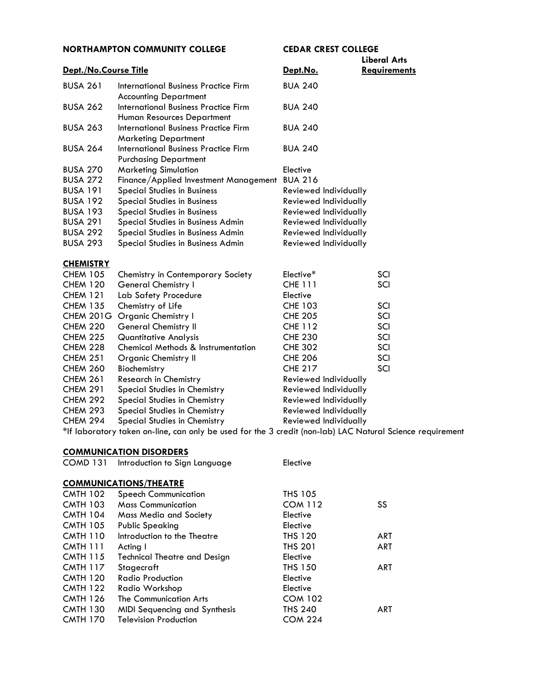|                       |                                                                                                                                                                                                                                                                                                                                                                                                                                                                                            |                              | <b>Liberal Arts</b> |
|-----------------------|--------------------------------------------------------------------------------------------------------------------------------------------------------------------------------------------------------------------------------------------------------------------------------------------------------------------------------------------------------------------------------------------------------------------------------------------------------------------------------------------|------------------------------|---------------------|
| Dept./No.Course Title |                                                                                                                                                                                                                                                                                                                                                                                                                                                                                            | Dept.No.                     | <b>Requirements</b> |
| <b>BUSA 261</b>       | International Business Practice Firm<br><b>Accounting Department</b>                                                                                                                                                                                                                                                                                                                                                                                                                       | <b>BUA 240</b>               |                     |
| <b>BUSA 262</b>       | International Business Practice Firm<br>Human Resources Department                                                                                                                                                                                                                                                                                                                                                                                                                         | <b>BUA 240</b>               |                     |
| <b>BUSA 263</b>       | International Business Practice Firm<br><b>Marketing Department</b>                                                                                                                                                                                                                                                                                                                                                                                                                        | <b>BUA 240</b>               |                     |
| <b>BUSA 264</b>       | International Business Practice Firm<br><b>Purchasing Department</b>                                                                                                                                                                                                                                                                                                                                                                                                                       | <b>BUA 240</b>               |                     |
| <b>BUSA 270</b>       | <b>Marketing Simulation</b>                                                                                                                                                                                                                                                                                                                                                                                                                                                                | Elective                     |                     |
| <b>BUSA 272</b>       | Finance/Applied Investment Management                                                                                                                                                                                                                                                                                                                                                                                                                                                      | <b>BUA 216</b>               |                     |
| <b>BUSA 191</b>       | <b>Special Studies in Business</b>                                                                                                                                                                                                                                                                                                                                                                                                                                                         | Reviewed Individually        |                     |
| <b>BUSA 192</b>       | <b>Special Studies in Business</b>                                                                                                                                                                                                                                                                                                                                                                                                                                                         | Reviewed Individually        |                     |
| <b>BUSA 193</b>       | <b>Special Studies in Business</b>                                                                                                                                                                                                                                                                                                                                                                                                                                                         | Reviewed Individually        |                     |
| <b>BUSA 291</b>       | Special Studies in Business Admin                                                                                                                                                                                                                                                                                                                                                                                                                                                          | <b>Reviewed Individually</b> |                     |
| <b>BUSA 292</b>       | Special Studies in Business Admin                                                                                                                                                                                                                                                                                                                                                                                                                                                          | <b>Reviewed Individually</b> |                     |
| <b>BUSA 293</b>       | Special Studies in Business Admin                                                                                                                                                                                                                                                                                                                                                                                                                                                          | Reviewed Individually        |                     |
| <b>CHEMISTRY</b>      |                                                                                                                                                                                                                                                                                                                                                                                                                                                                                            |                              |                     |
| <b>CHEM 105</b>       | Chemistry in Contemporary Society                                                                                                                                                                                                                                                                                                                                                                                                                                                          | Elective <sup>*</sup>        | SCI                 |
| <b>CHEM 120</b>       | <b>General Chemistry I</b>                                                                                                                                                                                                                                                                                                                                                                                                                                                                 | <b>CHE 111</b>               | SCI                 |
| $\sim$ IF $\sim$ 1.01 | $\blacksquare$ $\blacksquare$ $\blacksquare$ $\blacksquare$ $\blacksquare$ $\blacksquare$ $\blacksquare$ $\blacksquare$ $\blacksquare$ $\blacksquare$ $\blacksquare$ $\blacksquare$ $\blacksquare$ $\blacksquare$ $\blacksquare$ $\blacksquare$ $\blacksquare$ $\blacksquare$ $\blacksquare$ $\blacksquare$ $\blacksquare$ $\blacksquare$ $\blacksquare$ $\blacksquare$ $\blacksquare$ $\blacksquare$ $\blacksquare$ $\blacksquare$ $\blacksquare$ $\blacksquare$ $\blacksquare$ $\blacks$ | . .                          |                     |

| CHEM 120        | General Chemistry I                           | CHE 111               | SCI |
|-----------------|-----------------------------------------------|-----------------------|-----|
| <b>CHEM 121</b> | Lab Safety Procedure                          | Elective              |     |
| <b>CHEM 135</b> | Chemistry of Life                             | <b>CHE 103</b>        | SCI |
|                 | CHEM 201G Organic Chemistry I                 | <b>CHE 205</b>        | SCI |
| CHEM 220        | <b>General Chemistry II</b>                   | <b>CHE 112</b>        | SCI |
| CHEM 225        | <b>Quantitative Analysis</b>                  | <b>CHE 230</b>        | SCI |
| CHEM 228        | <b>Chemical Methods &amp; Instrumentation</b> | <b>CHE 302</b>        | SCI |
| <b>CHEM 251</b> | Organic Chemistry II                          | <b>CHE 206</b>        | SCI |
| <b>CHEM 260</b> | Biochemistry                                  | <b>CHE 217</b>        | SCI |
| <b>CHEM 261</b> | Research in Chemistry                         | Reviewed Individually |     |
| <b>CHEM 291</b> | Special Studies in Chemistry                  | Reviewed Individually |     |
| CHEM 292        | Special Studies in Chemistry                  | Reviewed Individually |     |
| CHEM 293        | Special Studies in Chemistry                  | Reviewed Individually |     |
| CHEM 294        | Special Studies in Chemistry                  | Reviewed Individually |     |
| <b>PERMIT</b>   |                                               |                       |     |

\*If laboratory taken on-line, can only be used for the 3 credit (non-lab) LAC Natural Science requirement

#### **COMMUNICATION DISORDERS**

| COMD <sub>131</sub> | Introduction to Sign Language       | Elective       |            |
|---------------------|-------------------------------------|----------------|------------|
|                     | <b>COMMUNICATIONS/THEATRE</b>       |                |            |
| <b>CMTH 102</b>     | <b>Speech Communication</b>         | <b>THS 105</b> |            |
| <b>CMTH 103</b>     | <b>Mass Communication</b>           | <b>COM 112</b> | <b>SS</b>  |
| <b>CMTH 104</b>     | Mass Media and Society              | Elective       |            |
| <b>CMTH 105</b>     | <b>Public Speaking</b>              | Elective       |            |
| <b>CMTH 110</b>     | Introduction to the Theatre         | <b>THS 120</b> | <b>ART</b> |
| <b>CMTH 111</b>     | Acting I                            | <b>THS 201</b> | ART        |
| <b>CMTH 115</b>     | <b>Technical Theatre and Design</b> | Elective       |            |
| <b>CMTH 117</b>     | Stagecraft                          | <b>THS 150</b> | <b>ART</b> |
| <b>CMTH 120</b>     | <b>Radio Production</b>             | Elective       |            |
| <b>CMTH 122</b>     | Radio Workshop                      | Elective       |            |
| <b>CMTH 126</b>     | <b>The Communication Arts</b>       | <b>COM 102</b> |            |
| <b>CMTH 130</b>     | MIDI Sequencing and Synthesis       | <b>THS 240</b> | ART        |
| <b>CMTH 170</b>     | <b>Television Production</b>        | <b>COM 224</b> |            |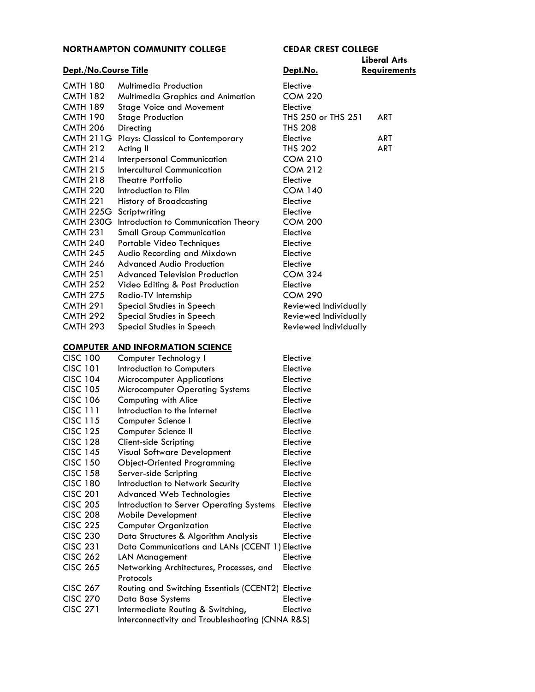#### **Liberal Arts Dept./No.Course Title Dept.No. Requirements** CMTH 180 Multimedia Production Elective CMTH 182 Multimedia Graphics and Animation COM 220 CMTH 189 Stage Voice and Movement Elective CMTH 190 Stage Production THS 250 or THS 251 ART CMTH 206 Directing THS 208 CMTH 211G Plays: Classical to Contemporary Elective Flective ART CMTH 212 Acting II CMTHS 202 ART CMTH 214 Interpersonal Communication COM 210 CMTH 215 Intercultural Communication COM 212 CMTH 218 Theatre Portfolio<br>
CMTH 220 Introduction to Film COM 1 Introduction to Film COM 140 CMTH 221 History of Broadcasting Elective CMTH 225G Scriptwriting Elective CMTH 230G Introduction to Communication Theory COM 200 CMTH 231 Small Group Communication Elective CMTH 240 Portable Video Techniques Elective CMTH 245 Audio Recording and Mixdown Elective CMTH 246 Advanced Audio Production Elective CMTH 251 Advanced Television Production COM 324 CMTH 252 Video Editing & Post Production Elective CMTH 275 Radio-TV Internship COM 290 CMTH 291 Special Studies in Speech Reviewed Individually CMTH 292 Special Studies in Speech Reviewed Individually CMTH 293 Special Studies in Speech Reviewed Individually

#### **[COMPUTER AND INFORMATION SCIENCE](http://catalog.northampton.edu/course-descriptions/computer-and-information-science-%28cisc%29.htm)**

| <b>CISC 100</b> | Computer Technology I                              | Elective |
|-----------------|----------------------------------------------------|----------|
| <b>CISC 101</b> | Introduction to Computers                          | Elective |
| <b>CISC 104</b> | <b>Microcomputer Applications</b>                  | Elective |
| <b>CISC 105</b> | <b>Microcomputer Operating Systems</b>             | Elective |
| <b>CISC 106</b> | Computing with Alice                               | Elective |
| <b>CISC 111</b> | Introduction to the Internet                       | Elective |
| <b>CISC 115</b> | Computer Science I                                 | Elective |
| <b>CISC 125</b> | Computer Science II                                | Elective |
| <b>CISC 128</b> | Client-side Scripting                              | Elective |
| <b>CISC 145</b> | Visual Software Development                        | Elective |
| <b>CISC 150</b> | <b>Object-Oriented Programming</b>                 | Elective |
| <b>CISC 158</b> | Server-side Scripting                              | Elective |
| <b>CISC 180</b> | Introduction to Network Security                   | Elective |
| <b>CISC 201</b> | <b>Advanced Web Technologies</b>                   | Elective |
| <b>CISC 205</b> | Introduction to Server Operating Systems           | Elective |
| <b>CISC 208</b> | <b>Mobile Development</b>                          | Elective |
| <b>CISC 225</b> | <b>Computer Organization</b>                       | Elective |
| <b>CISC 230</b> | Data Structures & Algorithm Analysis               | Elective |
| <b>CISC 231</b> | Data Communications and LANs (CCENT 1) Elective    |          |
| <b>CISC 262</b> | <b>LAN Management</b>                              | Elective |
| <b>CISC 265</b> | Networking Architectures, Processes, and           | Elective |
|                 | Protocols                                          |          |
| <b>CISC 267</b> | Routing and Switching Essentials (CCENT2) Elective |          |
| <b>CISC 270</b> | Data Base Systems                                  | Elective |
| <b>CISC 271</b> | Intermediate Routing & Switching,                  | Elective |
|                 | Interconnectivity and Troubleshooting (CNNA R&S)   |          |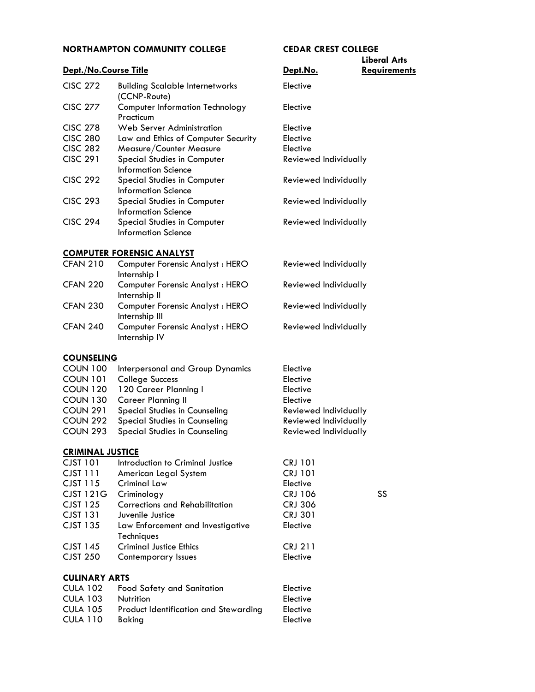#### **Dept./No.Course Title Contract Contract Contract Contract Contract Contract Contract Contract Contract Contract Contract Contract Contract Contract Contract Contract Contract Contract Contract Contract Contract Contract**

| <b>CISC 272</b> | <b>Building Scalable Internetworks</b><br>(CCNP-Route)    | Elective                     |
|-----------------|-----------------------------------------------------------|------------------------------|
| <b>CISC 277</b> | <b>Computer Information Technology</b><br>Practicum       | Elective                     |
| <b>CISC 278</b> | Web Server Administration                                 | Elective                     |
| <b>CISC 280</b> | Law and Ethics of Computer Security                       | Elective                     |
| <b>CISC 282</b> | Measure/Counter Measure                                   | Elective                     |
| <b>CISC 291</b> | <b>Special Studies in Computer</b><br>Information Science | <b>Reviewed Individually</b> |
| <b>CISC 292</b> | <b>Special Studies in Computer</b><br>Information Science | Reviewed Individually        |
| <b>CISC 293</b> | <b>Special Studies in Computer</b><br>Information Science | Reviewed Individually        |
| <b>CISC 294</b> | Special Studies in Computer<br>Information Science        | Reviewed Individually        |

#### **[COMPUTER FORENSIC ANALYST](http://catalog.northampton.edu/course-descriptions/computer-forensics-analyst-%28cfan%29.htm)**

| Internship I                                                                |                       |
|-----------------------------------------------------------------------------|-----------------------|
| <b>CFAN 220</b><br>Computer Forensic Analyst: HERO<br>Internship II         | Reviewed Individually |
| <b>CFAN 230</b><br><b>Computer Forensic Analyst: HERO</b><br>Internship III | Reviewed Individually |
| <b>CFAN 240</b><br><b>Computer Forensic Analyst: HERO</b><br>Internship IV  | Reviewed Individually |

#### **[COUNSELING](http://catalog.northampton.edu/course-descriptions/counseling-%28coun%29.htm)**

| <b>COUN 100</b> | Interpersonal and Group Dynamics     | Elective              |
|-----------------|--------------------------------------|-----------------------|
| <b>COUN 101</b> | <b>College Success</b>               | Elective              |
| <b>COUN 120</b> | 120 Career Planning I                | Elective              |
| <b>COUN 130</b> | <b>Career Planning II</b>            | Elective              |
| <b>COUN 291</b> | <b>Special Studies in Counseling</b> | Reviewed Individually |
| COUN 292        | <b>Special Studies in Counseling</b> | Reviewed Individually |
| <b>COUN 293</b> | <b>Special Studies in Counseling</b> | Reviewed Individually |
|                 |                                      |                       |

#### **[CRIMINAL JUSTICE](http://catalog.northampton.edu/course-descriptions/criminal-justice-%28cjst%29.htm)**

| <b>CJST 101</b>      | Introduction to Criminal Justice      | <b>CRJ 101</b> |    |
|----------------------|---------------------------------------|----------------|----|
| <b>CJST 111</b>      | American Legal System                 | <b>CRJ 101</b> |    |
| CJST 115             | Criminal Law                          | Elective       |    |
| <b>CJST 121G</b>     | Criminology                           | <b>CRJ 106</b> | SS |
| CJST 125             | Corrections and Rehabilitation        | <b>CRJ 306</b> |    |
| <b>CJST 131</b>      | Juvenile Justice                      | <b>CRJ 301</b> |    |
| <b>CJST 135</b>      | Law Enforcement and Investigative     | Elective       |    |
|                      | Techniques                            |                |    |
| <b>CJST 145</b>      | <b>Criminal Justice Ethics</b>        | <b>CRJ 211</b> |    |
| <b>CJST 250</b>      | Contemporary Issues                   | Elective       |    |
|                      |                                       |                |    |
| <b>CULINARY ARTS</b> |                                       |                |    |
| <b>CULA 102</b>      | Food Safety and Sanitation            | Elective       |    |
| <b>CULA 103</b>      | Nutrition                             | Elective       |    |
| <b>CULA 105</b>      | Product Identification and Stewarding | Elective       |    |
| <b>CULA 110</b>      | <b>Baking</b>                         | Elective       |    |

# **Liberal Arts**

| Elective<br>Elective<br>Elective<br>Reviewed Individually                                                               |    |
|-------------------------------------------------------------------------------------------------------------------------|----|
| Reviewed Individually                                                                                                   |    |
| Reviewed Individually                                                                                                   |    |
| Reviewed Individually                                                                                                   |    |
|                                                                                                                         |    |
| Reviewed Individually                                                                                                   |    |
| Reviewed Individually                                                                                                   |    |
| Reviewed Individually                                                                                                   |    |
| Reviewed Individually                                                                                                   |    |
|                                                                                                                         |    |
| Elective<br>Elective<br>Elective<br>Elective<br>Reviewed Individually<br>Reviewed Individually<br>Reviewed Individually |    |
| <b>CRJ 101</b><br><b>CRJ 101</b><br>Elective<br><b>CRJ 106</b><br><b>CRJ 306</b><br><b>CRJ 301</b><br>Elective          | SS |
| <b>CRJ 211</b><br>Elective                                                                                              |    |
| Elective<br>Elective<br>Elective                                                                                        |    |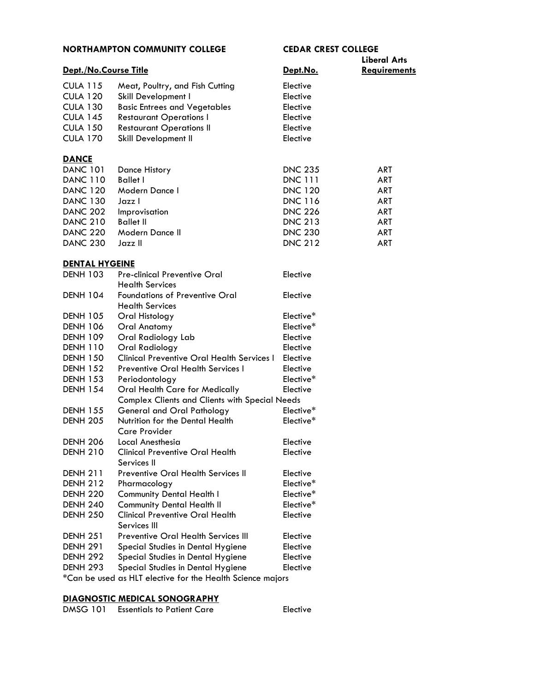|                       | IIIMIII IVII TUIIIIT                                            |                |                                            |
|-----------------------|-----------------------------------------------------------------|----------------|--------------------------------------------|
| Dept./No.Course Title |                                                                 | Dept.No.       | <b>Liberal Arts</b><br><b>Requirements</b> |
| <b>CULA 115</b>       | Meat, Poultry, and Fish Cutting                                 | Elective       |                                            |
| <b>CULA 120</b>       | Skill Development I                                             | Elective       |                                            |
| <b>CULA 130</b>       | <b>Basic Entrees and Vegetables</b>                             | Elective       |                                            |
| <b>CULA 145</b>       | <b>Restaurant Operations I</b>                                  | Elective       |                                            |
| <b>CULA 150</b>       | <b>Restaurant Operations II</b>                                 | Elective       |                                            |
| <b>CULA 170</b>       | Skill Development II                                            | Elective       |                                            |
| <b>DANCE</b>          |                                                                 |                |                                            |
| <b>DANC 101</b>       | Dance History                                                   | <b>DNC 235</b> | ART                                        |
| <b>DANC 110</b>       | <b>Ballet I</b>                                                 | <b>DNC 111</b> | ART                                        |
| <b>DANC 120</b>       | Modern Dance I                                                  | <b>DNC 120</b> | ART                                        |
| <b>DANC 130</b>       | Jazz I                                                          | <b>DNC 116</b> | ART                                        |
| <b>DANC 202</b>       | Improvisation                                                   | <b>DNC 226</b> | ART                                        |
| <b>DANC 210</b>       | <b>Ballet II</b>                                                | <b>DNC 213</b> | ART                                        |
| <b>DANC 220</b>       | Modern Dance II                                                 | <b>DNC 230</b> | ART                                        |
| <b>DANC 230</b>       | Jazz II                                                         | <b>DNC 212</b> | ART                                        |
| <b>DENTAL HYGEINE</b> |                                                                 |                |                                            |
| <b>DENH 103</b>       | <b>Pre-clinical Preventive Oral</b>                             | Elective       |                                            |
|                       | <b>Health Services</b>                                          |                |                                            |
| <b>DENH 104</b>       | <b>Foundations of Preventive Oral</b><br><b>Health Services</b> | Elective       |                                            |
| <b>DENH 105</b>       | Oral Histology                                                  | Elective*      |                                            |
| <b>DENH 106</b>       | <b>Oral Anatomy</b>                                             | Elective*      |                                            |
| <b>DENH 109</b>       | Oral Radiology Lab                                              | Elective       |                                            |
| <b>DENH 110</b>       | Oral Radiology                                                  | Elective       |                                            |
| <b>DENH 150</b>       | <b>Clinical Preventive Oral Health Services I</b>               | Elective       |                                            |
| <b>DENH 152</b>       | Preventive Oral Health Services I                               | Elective       |                                            |
| <b>DENH 153</b>       | Periodontology                                                  | Elective*      |                                            |
| <b>DENH 154</b>       | Oral Health Care for Medically                                  | Elective       |                                            |
|                       | <b>Complex Clients and Clients with Special Needs</b>           |                |                                            |
| <b>DENH 155</b>       | <b>General and Oral Pathology</b>                               | Elective*      |                                            |
| <b>DENH 205</b>       | Nutrition for the Dental Health<br><b>Care Provider</b>         | Elective*      |                                            |
| <b>DENH 206</b>       | Local Anesthesia                                                | Elective       |                                            |
| <b>DENH 210</b>       | <b>Clinical Preventive Oral Health</b><br>Services II           | Elective       |                                            |
| <b>DENH 211</b>       | Preventive Oral Health Services II                              | Elective       |                                            |
| <b>DENH 212</b>       | Pharmacology                                                    | Elective*      |                                            |
| <b>DENH 220</b>       | <b>Community Dental Health I</b>                                | Elective*      |                                            |
| <b>DENH 240</b>       | <b>Community Dental Health II</b>                               | Elective*      |                                            |
| <b>DENH 250</b>       | <b>Clinical Preventive Oral Health</b><br>Services III          | Elective       |                                            |
| <b>DENH 251</b>       | <b>Preventive Oral Health Services III</b>                      | Elective       |                                            |
| <b>DENH 291</b>       | Special Studies in Dental Hygiene                               | Elective       |                                            |
| <b>DENH 292</b>       | Special Studies in Dental Hygiene                               | Elective       |                                            |
| <b>DENH 293</b>       | Special Studies in Dental Hygiene                               | Elective       |                                            |

\*Can be used as HLT elective for the Health Science majors

#### **[DIAGNOSTIC MEDICAL SONOGRAPHY](http://catalog.northampton.edu/course-descriptions/diagnostic-medical-sonography-%28dmsg%29.htm)**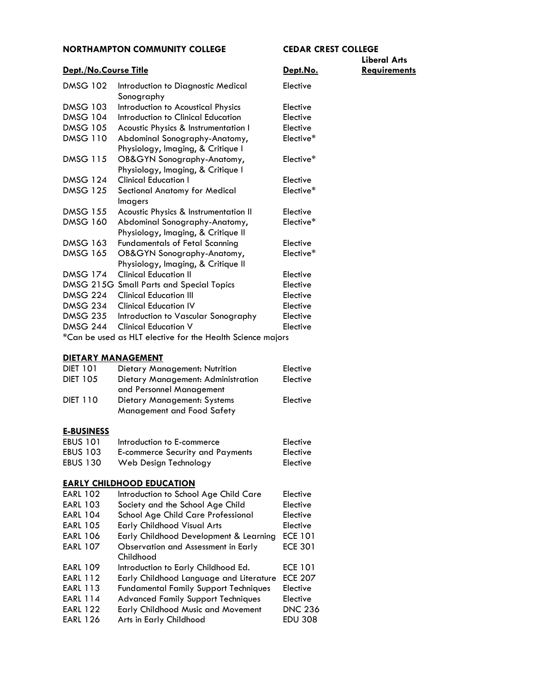# **Liberal Arts**

| Dept./No.Course Title |                                                                     | Dept.No.  | <b>Requirements</b> |
|-----------------------|---------------------------------------------------------------------|-----------|---------------------|
| <b>DMSG 102</b>       | Introduction to Diagnostic Medical<br>Sonography                    | Elective  |                     |
| <b>DMSG 103</b>       | Introduction to Acoustical Physics                                  | Elective  |                     |
| <b>DMSG 104</b>       | Introduction to Clinical Education                                  | Elective  |                     |
| <b>DMSG 105</b>       | Acoustic Physics & Instrumentation I                                | Elective  |                     |
| <b>DMSG 110</b>       | Abdominal Sonography-Anatomy,<br>Physiology, Imaging, & Critique I  | Elective* |                     |
| <b>DMSG 115</b>       | OB&GYN Sonography-Anatomy,<br>Physiology, Imaging, & Critique I     | Elective* |                     |
| <b>DMSG 124</b>       | <b>Clinical Education I</b>                                         | Elective  |                     |
| <b>DMSG 125</b>       | <b>Sectional Anatomy for Medical</b><br><b>Imagers</b>              | Elective* |                     |
| <b>DMSG 155</b>       | Acoustic Physics & Instrumentation II                               | Elective  |                     |
| <b>DMSG 160</b>       | Abdominal Sonography-Anatomy,<br>Physiology, Imaging, & Critique II | Elective* |                     |
| <b>DMSG 163</b>       | <b>Fundamentals of Fetal Scanning</b>                               | Elective  |                     |
| <b>DMSG 165</b>       | OB&GYN Sonography-Anatomy,<br>Physiology, Imaging, & Critique II    | Elective* |                     |
| <b>DMSG 174</b>       | <b>Clinical Education II</b>                                        | Elective  |                     |
|                       | DMSG 215G Small Parts and Special Topics                            | Elective  |                     |
| DMSG 224              | <b>Clinical Education III</b>                                       | Elective  |                     |
| <b>DMSG 234</b>       | <b>Clinical Education IV</b>                                        | Elective  |                     |
| <b>DMSG 235</b>       | Introduction to Vascular Sonography                                 | Elective  |                     |
| <b>DMSG 244</b>       | <b>Clinical Education V</b>                                         | Elective  |                     |
|                       | *Can be used as HLT elective for the Health Science majors          |           |                     |

#### **DIETARY MANAGEMENT**

| <b>DIET 101</b> | Dietary Management: Nutrition                             | Elective |
|-----------------|-----------------------------------------------------------|----------|
| <b>DIET 105</b> | Dietary Management: Administration                        | Elective |
|                 | and Personnel Management                                  |          |
| <b>DIET 110</b> | Dietary Management: Systems<br>Management and Food Safety | Elective |

#### **E-BUSINESS**

| <b>EBUS 101</b> | Introduction to E-commerce       | Elective |
|-----------------|----------------------------------|----------|
| <b>EBUS 103</b> | E-commerce Security and Payments | Elective |
| <b>EBUS 130</b> | Web Design Technology            | Elective |

### **[EARLY CHILDHOOD EDUCATION](http://catalog.northampton.edu/course-descriptions/early-childhood-education-%28earl%29.htm)**

| <b>EARL 102</b> | Introduction to School Age Child Care        | Elective       |
|-----------------|----------------------------------------------|----------------|
| <b>EARL 103</b> | Society and the School Age Child             | Elective       |
| <b>EARL 104</b> | School Age Child Care Professional           | Elective       |
| <b>EARL 105</b> | <b>Early Childhood Visual Arts</b>           | Elective       |
| <b>EARL 106</b> | Early Childhood Development & Learning       | <b>ECE 101</b> |
| <b>EARL 107</b> | Observation and Assessment in Early          | <b>ECE 301</b> |
|                 | Childhood                                    |                |
| <b>EARL 109</b> | Introduction to Early Childhood Ed.          | <b>ECE 101</b> |
| <b>EARL 112</b> | Early Childhood Language and Literature      | <b>ECE 207</b> |
| <b>EARL 113</b> | <b>Fundamental Family Support Techniques</b> | Elective       |
| <b>EARL 114</b> | <b>Advanced Family Support Techniques</b>    | Elective       |
| <b>EARL 122</b> | <b>Early Childhood Music and Movement</b>    | <b>DNC 236</b> |
| <b>EARL 126</b> | Arts in Early Childhood                      | <b>EDU 308</b> |
|                 |                                              |                |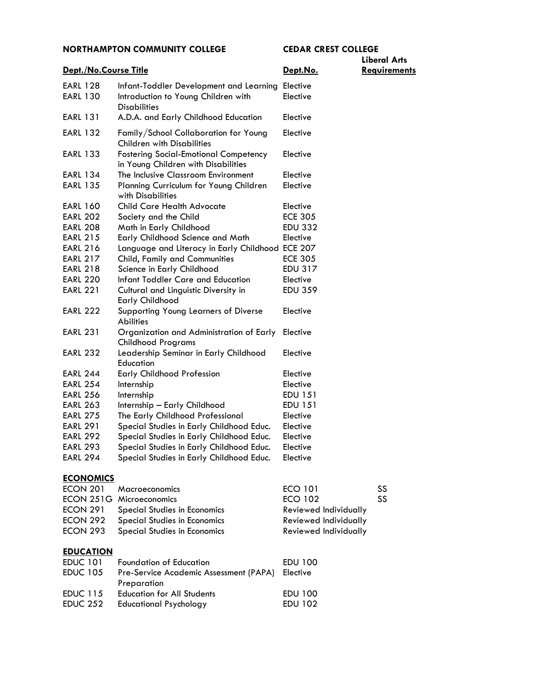# **Liberal Arts**

| Dept./No.Course Title              |                                                                                                       | Dept.No.             | Requirements |
|------------------------------------|-------------------------------------------------------------------------------------------------------|----------------------|--------------|
| <b>EARL 128</b><br><b>EARL 130</b> | Infant-Toddler Development and Learning<br>Introduction to Young Children with<br><b>Disabilities</b> | Elective<br>Elective |              |
| <b>EARL 131</b>                    | A.D.A. and Early Childhood Education                                                                  | Elective             |              |
| <b>EARL 132</b>                    | Family/School Collaboration for Young<br><b>Children with Disabilities</b>                            | Elective             |              |
| <b>EARL 133</b>                    | <b>Fostering Social-Emotional Competency</b><br>in Young Children with Disabilities                   | Elective             |              |
| <b>EARL 134</b>                    | The Inclusive Classroom Environment                                                                   | Elective             |              |
| <b>EARL 135</b>                    | Planning Curriculum for Young Children<br>with Disabilities                                           | Elective             |              |
| <b>EARL 160</b>                    | <b>Child Care Health Advocate</b>                                                                     | Elective             |              |
| <b>EARL 202</b>                    | Society and the Child                                                                                 | <b>ECE 305</b>       |              |
| <b>EARL 208</b>                    | Math in Early Childhood                                                                               | <b>EDU 332</b>       |              |
| <b>EARL 215</b>                    | Early Childhood Science and Math                                                                      | Elective             |              |
| <b>EARL 216</b>                    | Language and Literacy in Early Childhood ECE 207                                                      |                      |              |
| <b>EARL 217</b>                    | Child, Family and Communities                                                                         | <b>ECE 305</b>       |              |
| <b>EARL 218</b>                    | Science in Early Childhood                                                                            | EDU 317              |              |
| <b>EARL 220</b>                    | Infant Toddler Care and Education                                                                     | Elective             |              |
| <b>EARL 221</b>                    | Cultural and Linguistic Diversity in<br><b>Early Childhood</b>                                        | <b>EDU 359</b>       |              |
| <b>EARL 222</b>                    | Supporting Young Learners of Diverse<br>Abilities                                                     | Elective             |              |
| <b>EARL 231</b>                    | Organization and Administration of Early<br><b>Childhood Programs</b>                                 | Elective             |              |
| <b>EARL 232</b>                    | Leadership Seminar in Early Childhood<br>Education                                                    | Elective             |              |
| <b>EARL 244</b>                    | <b>Early Childhood Profession</b>                                                                     | Elective             |              |
| <b>EARL 254</b>                    | Internship                                                                                            | Elective             |              |
| <b>EARL 256</b>                    | Internship                                                                                            | EDU 151              |              |
| <b>EARL 263</b>                    | Internship - Early Childhood                                                                          | <b>EDU 151</b>       |              |
| <b>EARL 275</b>                    | The Early Childhood Professional                                                                      | Elective             |              |
| <b>EARL 291</b>                    | Special Studies in Early Childhood Educ.                                                              | Elective             |              |
| <b>EARL 292</b>                    | Special Studies in Early Childhood Educ.                                                              | Elective             |              |
| <b>EARL 293</b>                    | Special Studies in Early Childhood Educ.                                                              | Elective             |              |
| <b>EARL 294</b>                    | Special Studies in Early Childhood Educ.                                                              | Elective             |              |
| <b>ECONOMICS</b>                   |                                                                                                       |                      |              |

# ECON 201 Macroeconomics ECO 101 SS ECON 251G Microeconomics ECO 102 SS ECON 291 Special Studies in Economics Reviewed Individually<br>
ECON 292 Special Studies in Economics Reviewed Individually Special Studies in Economics ECON 293 Special Studies in Economics Reviewed Individually **[EDUCATION](http://catalog.northampton.edu/course-descriptions/education-%28educ%29.htm)**

| <b>EDUC 101</b> | <b>Foundation of Education</b>                  | EDU 100        |
|-----------------|-------------------------------------------------|----------------|
| <b>EDUC 105</b> | Pre-Service Academic Assessment (PAPA) Elective |                |
|                 | Preparation                                     |                |
| <b>EDUC 115</b> | <b>Education for All Students</b>               | EDU 100        |
| <b>EDUC 252</b> | Educational Psychology                          | <b>EDU 102</b> |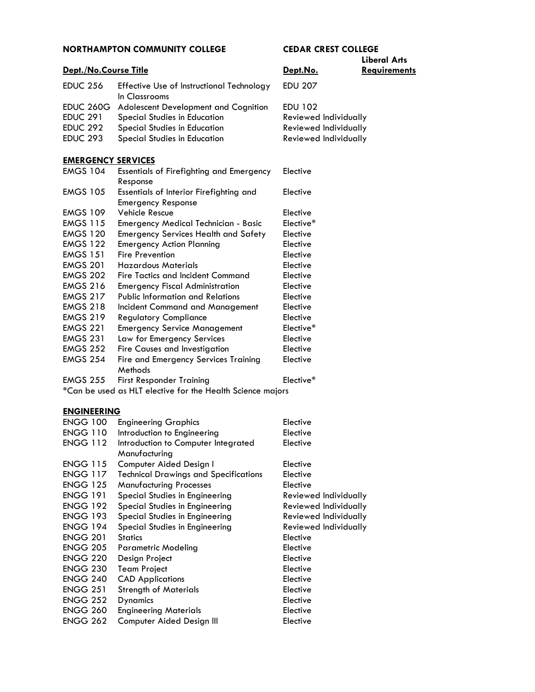| NORTHAMPTON COMMUNITY COLLEGE |                                                                      | LEDAK LKESI LULLEUE<br><b>Liberal Arts</b> |                     |
|-------------------------------|----------------------------------------------------------------------|--------------------------------------------|---------------------|
| Dept./No.Course Title         |                                                                      | Dept.No.                                   | <b>Requirements</b> |
| <b>EDUC 256</b>               | Effective Use of Instructional Technology<br>In Classrooms           | <b>EDU 207</b>                             |                     |
| <b>EDUC 260G</b>              | Adolescent Development and Cognition                                 | <b>EDU 102</b>                             |                     |
| <b>EDUC 291</b>               | <b>Special Studies in Education</b>                                  | Reviewed Individually                      |                     |
| <b>EDUC 292</b>               | Special Studies in Education                                         | <b>Reviewed Individually</b>               |                     |
| <b>EDUC 293</b>               | <b>Special Studies in Education</b>                                  | Reviewed Individually                      |                     |
| <b>EMERGENCY SERVICES</b>     |                                                                      |                                            |                     |
| <b>EMGS 104</b>               | Essentials of Firefighting and Emergency<br>Response                 | Elective                                   |                     |
| <b>EMGS 105</b>               | Essentials of Interior Firefighting and<br><b>Emergency Response</b> | Elective                                   |                     |
| <b>EMGS 109</b>               | <b>Vehicle Rescue</b>                                                | Elective                                   |                     |
| <b>EMGS 115</b>               | Emergency Medical Technician - Basic                                 | Elective*                                  |                     |
| <b>EMGS 120</b>               | <b>Emergency Services Health and Safety</b>                          | Elective                                   |                     |
| <b>EMGS 122</b>               | <b>Emergency Action Planning</b>                                     | Elective                                   |                     |
| <b>EMGS 151</b>               | <b>Fire Prevention</b>                                               | Elective                                   |                     |
| <b>EMGS 201</b>               | Hazardous Materials                                                  | Elective                                   |                     |
| <b>EMGS 202</b>               | <b>Fire Tactics and Incident Command</b>                             | Elective                                   |                     |
| <b>EMGS 216</b>               | <b>Emergency Fiscal Administration</b>                               | Elective                                   |                     |
| <b>EMGS 217</b>               | <b>Public Information and Relations</b>                              | Elective                                   |                     |
| <b>EMGS 218</b>               | Incident Command and Management                                      | Elective                                   |                     |
| <b>EMGS 219</b>               | <b>Regulatory Compliance</b>                                         | Elective                                   |                     |
| <b>EMGS 221</b>               | <b>Emergency Service Management</b>                                  | Elective*                                  |                     |
| <b>EMGS 231</b>               | Law for Emergency Services                                           | Elective                                   |                     |
|                               |                                                                      |                                            |                     |

EMGS 252 Fire Causes and Investigation Elective EMGS 254 Fire and Emergency Services Training Elective

Methods EMGS 255 First Responder Training Elective\*

\*Can be used as HLT elective for the Health Science majors

#### **[ENGINEERING](http://catalog.northampton.edu/course-descriptions/engineering-%28engg%29.htm)**

| <b>ENGG 100</b> | <b>Engineering Graphics</b>                  | Elective              |
|-----------------|----------------------------------------------|-----------------------|
| <b>ENGG 110</b> | Introduction to Engineering                  | Elective              |
| <b>ENGG 112</b> | Introduction to Computer Integrated          | Elective              |
|                 | Manufacturing                                |                       |
| <b>ENGG 115</b> | Computer Aided Design I                      | Elective              |
| <b>ENGG 117</b> | <b>Technical Drawings and Specifications</b> | Elective              |
| <b>ENGG 125</b> | <b>Manufacturing Processes</b>               | Elective              |
| <b>ENGG 191</b> | Special Studies in Engineering               | Reviewed Individually |
| <b>ENGG 192</b> | Special Studies in Engineering               | Reviewed Individually |
| <b>ENGG 193</b> | Special Studies in Engineering               | Reviewed Individually |
| <b>ENGG 194</b> | Special Studies in Engineering               | Reviewed Individually |
| <b>ENGG 201</b> | <b>Statics</b>                               | Elective              |
| <b>ENGG 205</b> | <b>Parametric Modeling</b>                   | Elective              |
| <b>ENGG 220</b> | Design Project                               | Elective              |
| <b>ENGG 230</b> | <b>Team Project</b>                          | Elective              |
| <b>ENGG 240</b> | <b>CAD Applications</b>                      | Elective              |
| <b>ENGG 251</b> | <b>Strength of Materials</b>                 | Elective              |
| <b>ENGG 252</b> | <b>Dynamics</b>                              | Elective              |
| <b>ENGG 260</b> | <b>Engineering Materials</b>                 | Elective              |
| <b>ENGG 262</b> | Computer Aided Design III                    | Elective              |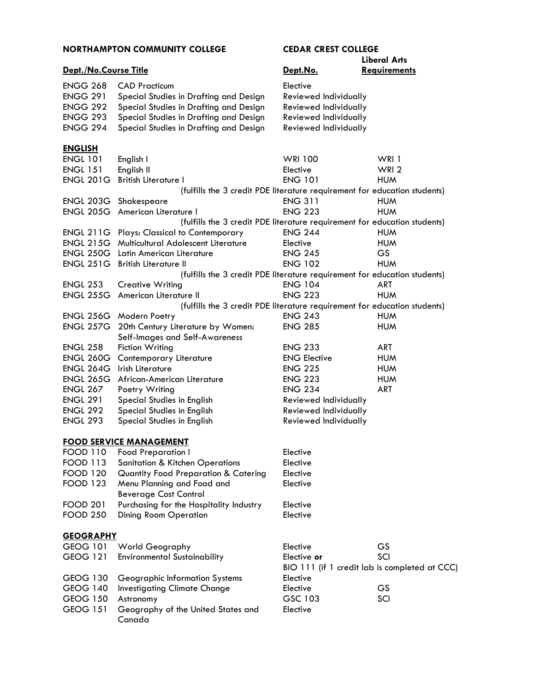# **Liberal Arts**

| Dept./No.Course Title |                                                                           | Dept.No.              | <b>Requirements</b>                           |
|-----------------------|---------------------------------------------------------------------------|-----------------------|-----------------------------------------------|
| <b>ENGG 268</b>       | <b>CAD Practicum</b>                                                      | Elective              |                                               |
| <b>ENGG 291</b>       | Special Studies in Drafting and Design                                    | Reviewed Individually |                                               |
| <b>ENGG 292</b>       | Special Studies in Drafting and Design                                    | Reviewed Individually |                                               |
| <b>ENGG 293</b>       | Special Studies in Drafting and Design                                    | Reviewed Individually |                                               |
| <b>ENGG 294</b>       | Special Studies in Drafting and Design                                    | Reviewed Individually |                                               |
| <b>ENGLISH</b>        |                                                                           |                       |                                               |
| <b>ENGL 101</b>       | English I                                                                 | <b>WRI 100</b>        | WRI 1                                         |
| <b>ENGL 151</b>       | English II                                                                | Elective              | WRI <sub>2</sub>                              |
| <b>ENGL 201G</b>      | <b>British Literature I</b>                                               | <b>ENG 101</b>        | <b>HUM</b>                                    |
|                       | (fulfills the 3 credit PDE literature requirement for education students) |                       |                                               |
|                       | <b>ENGL 203G</b> Shakespeare                                              | <b>ENG 311</b>        | <b>HUM</b>                                    |
|                       | <b>ENGL 205G</b> American Literature I                                    | <b>ENG 223</b>        | <b>HUM</b>                                    |
|                       | (fulfills the 3 credit PDE literature requirement for education students) |                       |                                               |
|                       | <b>ENGL 211G</b> Plays: Classical to Contemporary                         | <b>ENG 244</b>        | <b>HUM</b>                                    |
|                       | <b>ENGL 215G</b> Multicultural Adolescent Literature                      | Elective              | <b>HUM</b>                                    |
| <b>ENGL 250G</b>      | Latin American Literature                                                 | <b>ENG 245</b>        | <b>GS</b>                                     |
| <b>ENGL 251G</b>      | <b>British Literature II</b>                                              | <b>ENG 102</b>        | <b>HUM</b>                                    |
|                       | (fulfills the 3 credit PDE literature requirement for education students) |                       |                                               |
| <b>ENGL 253</b>       | <b>Creative Writing</b>                                                   | <b>ENG 104</b>        | <b>ART</b>                                    |
| <b>ENGL 255G</b>      | American Literature II                                                    | <b>ENG 223</b>        | <b>HUM</b>                                    |
|                       | (fulfills the 3 credit PDE literature requirement for education students) |                       |                                               |
|                       | ENGL 256G Modern Poetry                                                   | <b>ENG 243</b>        | <b>HUM</b>                                    |
| <b>ENGL 257G</b>      | 20th Century Literature by Women:<br>Self-Images and Self-Awareness       | <b>ENG 285</b>        | <b>HUM</b>                                    |
| <b>ENGL 258</b>       | <b>Fiction Writing</b>                                                    | <b>ENG 233</b>        | <b>ART</b>                                    |
| <b>ENGL 260G</b>      | Contemporary Literature                                                   | <b>ENG Elective</b>   | <b>HUM</b>                                    |
| <b>ENGL 264G</b>      | Irish Literature                                                          | <b>ENG 225</b>        | <b>HUM</b>                                    |
| <b>ENGL 265G</b>      | African-American Literature                                               | <b>ENG 223</b>        | <b>HUM</b>                                    |
| <b>ENGL 267</b>       | Poetry Writing                                                            | <b>ENG 234</b>        | ART                                           |
| <b>ENGL 291</b>       | Special Studies in English                                                | Reviewed Individually |                                               |
| <b>ENGL 292</b>       | Special Studies in English                                                | Reviewed Individually |                                               |
| <b>ENGL 293</b>       | Special Studies in English                                                | Reviewed Individually |                                               |
|                       | <b>FOOD SERVICE MANAGEMENT</b>                                            |                       |                                               |
| <b>FOOD 110</b>       | <b>Food Preparation I</b>                                                 | Elective              |                                               |
| <b>FOOD 113</b>       | <b>Sanitation &amp; Kitchen Operations</b>                                | Elective              |                                               |
| <b>FOOD 120</b>       | <b>Quantity Food Preparation &amp; Catering</b>                           | Elective              |                                               |
| <b>FOOD 123</b>       | Menu Planning and Food and                                                | Elective              |                                               |
|                       | <b>Beverage Cost Control</b>                                              |                       |                                               |
| <b>FOOD 201</b>       | Purchasing for the Hospitality Industry                                   | Elective              |                                               |
| <b>FOOD 250</b>       | <b>Dining Room Operation</b>                                              | Elective              |                                               |
| <b>GEOGRAPHY</b>      |                                                                           |                       |                                               |
| <b>GEOG 101</b>       | <b>World Geography</b>                                                    | Elective              | GS                                            |
| <b>GEOG 121</b>       | <b>Environmental Sustainability</b>                                       | Elective or           | SCI                                           |
|                       |                                                                           |                       | BIO 111 (if 1 credit lab is completed at CCC) |
| <b>GEOG 130</b>       | Geographic Information Systems                                            | Elective              |                                               |
| <b>GEOG 140</b>       | <b>Investigating Climate Change</b>                                       | Elective              | GS                                            |
| <b>GEOG 150</b>       | Astronomy                                                                 | GSC 103               | SCI                                           |
| <b>GEOG 151</b>       | Geography of the United States and<br>Canada                              | Elective              |                                               |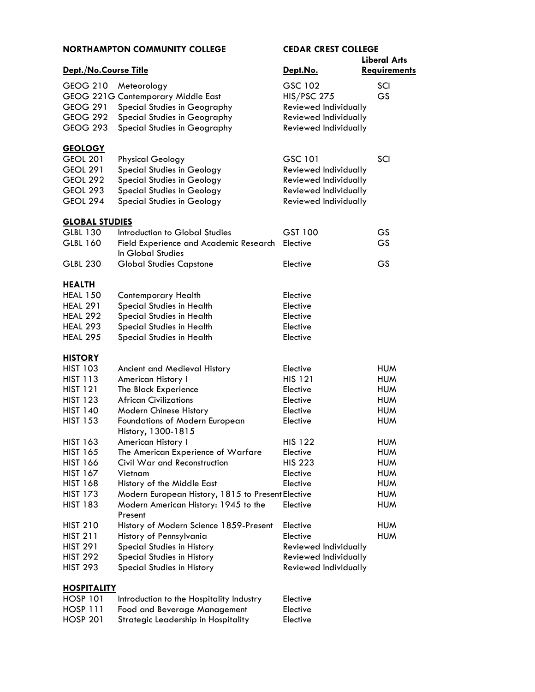|                       | <b>NORTHAMPTON COMMUNITY COLLEGE</b>                        | <b>CEDAR CREST COLLEGE</b> |                     |
|-----------------------|-------------------------------------------------------------|----------------------------|---------------------|
|                       |                                                             |                            | <b>Liberal Arts</b> |
| Dept./No.Course Title |                                                             | Dept.No.                   | Requirements        |
| <b>GEOG 210</b>       | Meteorology                                                 | GSC 102                    | SCI                 |
|                       | GEOG 221G Contemporary Middle East                          | <b>HIS/PSC 275</b>         | <b>GS</b>           |
| <b>GEOG 291</b>       | Special Studies in Geography                                | Reviewed Individually      |                     |
| <b>GEOG 292</b>       | Special Studies in Geography                                | Reviewed Individually      |                     |
| <b>GEOG 293</b>       | Special Studies in Geography                                | Reviewed Individually      |                     |
| <b>GEOLOGY</b>        |                                                             |                            |                     |
| <b>GEOL 201</b>       | <b>Physical Geology</b>                                     | GSC 101                    | SCI                 |
| <b>GEOL 291</b>       | Special Studies in Geology                                  | Reviewed Individually      |                     |
| GEOL 292              | <b>Special Studies in Geology</b>                           | Reviewed Individually      |                     |
| <b>GEOL 293</b>       | <b>Special Studies in Geology</b>                           | Reviewed Individually      |                     |
| <b>GEOL 294</b>       | <b>Special Studies in Geology</b>                           | Reviewed Individually      |                     |
| <b>GLOBAL STUDIES</b> |                                                             |                            |                     |
| <b>GLBL 130</b>       | Introduction to Global Studies                              | GST 100                    | GS                  |
| <b>GLBL 160</b>       | Field Experience and Academic Research<br>In Global Studies | Elective                   | <b>GS</b>           |
| <b>GLBL 230</b>       | <b>Global Studies Capstone</b>                              | Elective                   | <b>GS</b>           |
| <u>HEALTH</u>         |                                                             |                            |                     |
| <b>HEAL 150</b>       | Contemporary Health                                         | Elective                   |                     |
| <b>HEAL 291</b>       | Special Studies in Health                                   | Elective                   |                     |
| <b>HEAL 292</b>       | Special Studies in Health                                   | Elective                   |                     |
| <b>HEAL 293</b>       | Special Studies in Health                                   | Elective                   |                     |
| <b>HEAL 295</b>       | Special Studies in Health                                   | Elective                   |                     |
| <b>HISTORY</b>        |                                                             |                            |                     |
| <b>HIST 103</b>       | Ancient and Medieval History                                | Elective                   | <b>HUM</b>          |
| <b>HIST 113</b>       | American History I                                          | <b>HIS 121</b>             | <b>HUM</b>          |
| <b>HIST 121</b>       | The Black Experience                                        | Elective                   | <b>HUM</b>          |
| <b>HIST 123</b>       | <b>African Civilizations</b>                                | Elective                   | <b>HUM</b>          |
| <b>HIST 140</b>       | Modern Chinese History                                      | Elective                   | <b>HUM</b>          |
| <b>HIST 153</b>       | Foundations of Modern European<br>History, 1300-1815        | Elective                   | <b>HUM</b>          |
| <b>HIST 163</b>       | American History I                                          | <b>HIS 122</b>             | <b>HUM</b>          |
| <b>HIST 165</b>       | The American Experience of Warfare                          | Elective                   | <b>HUM</b>          |
| <b>HIST 166</b>       | Civil War and Reconstruction                                | <b>HIS 223</b>             | <b>HUM</b>          |
| <b>HIST 167</b>       | Vietnam                                                     | Elective                   | <b>HUM</b>          |
| <b>HIST 168</b>       | History of the Middle East                                  | Elective                   | <b>HUM</b>          |
| <b>HIST 173</b>       | Modern European History, 1815 to Present Elective           |                            | <b>HUM</b>          |
| <b>HIST 183</b>       | Modern American History: 1945 to the<br>Present             | Elective                   | <b>HUM</b>          |
| <b>HIST 210</b>       | History of Modern Science 1859-Present                      | Elective                   | <b>HUM</b>          |
| <b>HIST 211</b>       | History of Pennsylvania                                     | Elective                   | <b>HUM</b>          |
| <b>HIST 291</b>       | Special Studies in History                                  | Reviewed Individually      |                     |
| <b>HIST 292</b>       | Special Studies in History                                  | Reviewed Individually      |                     |
| <b>HIST 293</b>       | Special Studies in History                                  | Reviewed Individually      |                     |
| <u>HOSPITALITY</u>    |                                                             |                            |                     |

| <b>HOSP 101</b> | Introduction to the Hospitality Industry | Elective |
|-----------------|------------------------------------------|----------|
| HOSP 111        | Food and Beverage Management             | Elective |
| <b>HOSP 201</b> | Strategic Leadership in Hospitality      | Elective |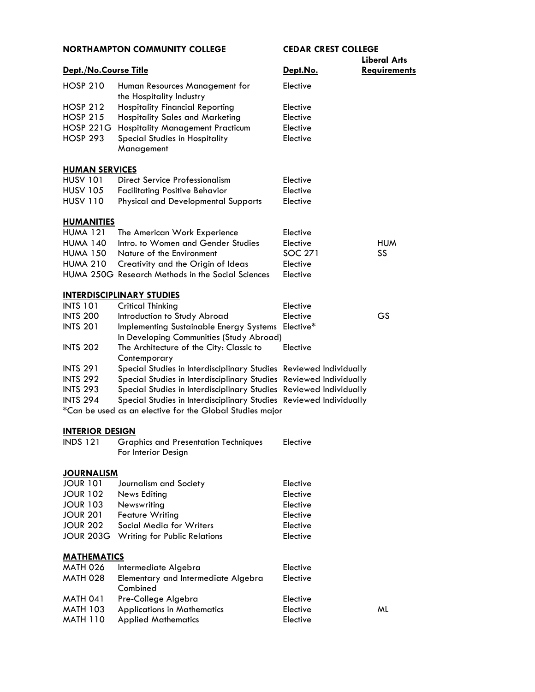| Dept./No.Course Title  |                                                                    | Dept.No.       | <b>Liberal Arts</b><br><b>Requirements</b> |
|------------------------|--------------------------------------------------------------------|----------------|--------------------------------------------|
| <b>HOSP 210</b>        | Human Resources Management for                                     | Elective       |                                            |
|                        | the Hospitality Industry                                           |                |                                            |
| <b>HOSP 212</b>        | <b>Hospitality Financial Reporting</b>                             | Elective       |                                            |
| <b>HOSP 215</b>        | <b>Hospitality Sales and Marketing</b>                             | Elective       |                                            |
| <b>HOSP 221G</b>       | <b>Hospitality Management Practicum</b>                            | Elective       |                                            |
| <b>HOSP 293</b>        | Special Studies in Hospitality                                     | Elective       |                                            |
|                        | Management                                                         |                |                                            |
| <b>HUMAN SERVICES</b>  |                                                                    |                |                                            |
| <b>HUSV 101</b>        | Direct Service Professionalism                                     | Elective       |                                            |
| <b>HUSV 105</b>        | <b>Facilitating Positive Behavior</b>                              | Elective       |                                            |
| <b>HUSV 110</b>        | <b>Physical and Developmental Supports</b>                         | Elective       |                                            |
| <b>HUMANITIES</b>      |                                                                    |                |                                            |
| <b>HUMA 121</b>        | The American Work Experience                                       | Elective       |                                            |
| <b>HUMA 140</b>        | Intro, to Women and Gender Studies                                 | Elective       | <b>HUM</b>                                 |
| <b>HUMA 150</b>        | Nature of the Environment                                          | <b>SOC 271</b> | SS                                         |
| <b>HUMA 210</b>        | Creativity and the Origin of Ideas                                 | Elective       |                                            |
|                        | HUMA 250G Research Methods in the Social Sciences                  | Elective       |                                            |
|                        | <b>INTERDISCIPLINARY STUDIES</b>                                   |                |                                            |
| <b>INTS 101</b>        | <b>Critical Thinking</b>                                           | Elective       |                                            |
| <b>INTS 200</b>        | Introduction to Study Abroad                                       | Elective       | <b>GS</b>                                  |
| <b>INTS 201</b>        | <b>Implementing Sustainable Energy Systems</b>                     | Elective*      |                                            |
|                        | In Developing Communities (Study Abroad)                           |                |                                            |
| <b>INTS 202</b>        | The Architecture of the City: Classic to<br>Contemporary           | Elective       |                                            |
| <b>INTS 291</b>        | Special Studies in Interdisciplinary Studies Reviewed Individually |                |                                            |
| <b>INTS 292</b>        | Special Studies in Interdisciplinary Studies Reviewed Individually |                |                                            |
| <b>INTS 293</b>        | Special Studies in Interdisciplinary Studies Reviewed Individually |                |                                            |
| <b>INTS 294</b>        | Special Studies in Interdisciplinary Studies Reviewed Individually |                |                                            |
|                        | *Can be used as an elective for the Global Studies major           |                |                                            |
| <b>INTERIOR DESIGN</b> |                                                                    |                |                                            |
| <b>INDS 121</b>        | <b>Graphics and Presentation Techniques</b><br>For Interior Design | Elective       |                                            |
| <u>JOURNALISM</u>      |                                                                    |                |                                            |
| <b>JOUR 101</b>        | Journalism and Society                                             | Elective       |                                            |
| <b>JOUR 102</b>        | <b>News Editing</b>                                                | Elective       |                                            |
| <b>JOUR 103</b>        | Newswriting                                                        | Elective       |                                            |
| <b>JOUR 201</b>        | <b>Feature Writing</b>                                             | Elective       |                                            |
| <b>JOUR 202</b>        | Social Media for Writers                                           | Elective       |                                            |
| <b>JOUR 203G</b>       | <b>Writing for Public Relations</b>                                | Elective       |                                            |
| <u>MATHEMATICS</u>     |                                                                    |                |                                            |
| <b>MATH 026</b>        | Intermediate Algebra                                               | Elective       |                                            |
| <b>MATH 028</b>        | Elementary and Intermediate Algebra<br>Combined                    | Elective       |                                            |
| <b>MATH 041</b>        | Pre-College Algebra                                                | Elective       |                                            |
| <b>MATH 103</b>        | <b>Applications in Mathematics</b>                                 | Elective       | ML                                         |
| <b>MATH 110</b>        | <b>Applied Mathematics</b>                                         | Elective       |                                            |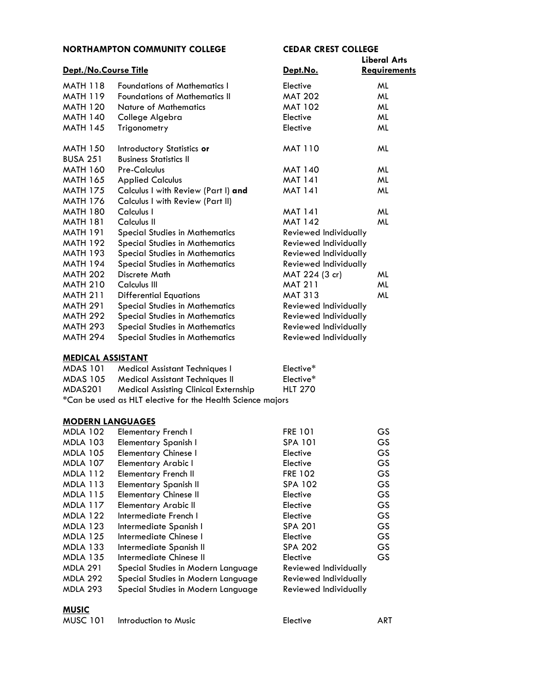| <b>NORTHAMPTON COMMUNITY COLLEGE</b> |                                       | <b>CEDAR CREST COLLEGE</b> |                     |
|--------------------------------------|---------------------------------------|----------------------------|---------------------|
|                                      |                                       |                            | <b>Liberal Arts</b> |
| Dept./No.Course Title                |                                       | Dept.No.                   | <b>Requirements</b> |
| <b>MATH 118</b>                      | <b>Foundations of Mathematics I</b>   | Elective                   | ML                  |
| <b>MATH 119</b>                      | <b>Foundations of Mathematics II</b>  | <b>MAT 202</b>             | ML                  |
| <b>MATH 120</b>                      | <b>Nature of Mathematics</b>          | <b>MAT 102</b>             | ML                  |
| <b>MATH 140</b>                      | College Algebra                       | Elective                   | ML                  |
| <b>MATH 145</b>                      | Trigonometry                          | Elective                   | ML                  |
| <b>MATH 150</b>                      | Introductory Statistics or            | <b>MAT 110</b>             | ML                  |
| <b>BUSA 251</b>                      | <b>Business Statistics II</b>         |                            |                     |
| <b>MATH 160</b>                      | Pre-Calculus                          | <b>MAT 140</b>             | ML                  |
| <b>MATH 165</b>                      | <b>Applied Calculus</b>               | <b>MAT 141</b>             | ML                  |
| <b>MATH 175</b>                      | Calculus I with Review (Part I) and   | <b>MAT 141</b>             | ML                  |
| <b>MATH 176</b>                      | Calculus I with Review (Part II)      |                            |                     |
| <b>MATH 180</b>                      | Calculus I                            | <b>MAT 141</b>             | ML                  |
| <b>MATH 181</b>                      | Calculus II                           | <b>MAT 142</b>             | ML                  |
| <b>MATH 191</b>                      | <b>Special Studies in Mathematics</b> | Reviewed Individually      |                     |
| <b>MATH 192</b>                      | <b>Special Studies in Mathematics</b> | Reviewed Individually      |                     |
| <b>MATH 193</b>                      | <b>Special Studies in Mathematics</b> | Reviewed Individually      |                     |
| <b>MATH 194</b>                      | <b>Special Studies in Mathematics</b> | Reviewed Individually      |                     |
| <b>MATH 202</b>                      | Discrete Math                         | MAT 224 (3 cr)             | ML                  |
| <b>MATH 210</b>                      | Calculus III                          | <b>MAT 211</b>             | ML                  |
| <b>MATH 211</b>                      | <b>Differential Equations</b>         | <b>MAT 313</b>             | ML                  |
| <b>MATH 291</b>                      | <b>Special Studies in Mathematics</b> | Reviewed Individually      |                     |
| <b>MATH 292</b>                      | <b>Special Studies in Mathematics</b> | Reviewed Individually      |                     |
| <b>MATH 293</b>                      | <b>Special Studies in Mathematics</b> | Reviewed Individually      |                     |
| <b>MATH 294</b>                      | <b>Special Studies in Mathematics</b> | Reviewed Individually      |                     |

#### **[MEDICAL ASSISTANT](http://catalog.northampton.edu/course-descriptions/medical-assistant-(mdas).htm)**

| MDAS 101        | Medical Assistant Techniques I                             | Elective*      |
|-----------------|------------------------------------------------------------|----------------|
| <b>MDAS 105</b> | <b>Medical Assistant Techniques II</b>                     | Elective*      |
| MDAS201         | <b>Medical Assisting Clinical Externship</b>               | <b>HLT 270</b> |
|                 | *Can be used as HLT elective for the Health Science majors |                |

### **[MODERN LANGUAGES](http://catalog.northampton.edu/course-descriptions/modern-languages-(mdla).htm)**

| <b>MDLA 102</b> | Elementary French I                | <b>FRE 101</b>        | <b>GS</b> |
|-----------------|------------------------------------|-----------------------|-----------|
| <b>MDLA 103</b> | <b>Elementary Spanish I</b>        | <b>SPA 101</b>        | GS        |
| <b>MDLA 105</b> | <b>Elementary Chinese I</b>        | Elective              | <b>GS</b> |
| <b>MDLA 107</b> | <b>Elementary Arabic I</b>         | Elective              | GS.       |
| <b>MDLA 112</b> | <b>Elementary French II</b>        | <b>FRE 102</b>        | GS.       |
| <b>MDLA 113</b> | <b>Elementary Spanish II</b>       | SPA 102               | GS.       |
| <b>MDLA 115</b> | <b>Elementary Chinese II</b>       | Elective              | <b>GS</b> |
| <b>MDLA 117</b> | <b>Elementary Arabic II</b>        | Elective              | <b>GS</b> |
| <b>MDLA 122</b> | Intermediate French I              | Elective              | <b>GS</b> |
| <b>MDLA 123</b> | Intermediate Spanish I             | <b>SPA 201</b>        | <b>GS</b> |
| <b>MDLA 125</b> | Intermediate Chinese I             | Elective              | GS.       |
| <b>MDLA 133</b> | Intermediate Spanish II            | <b>SPA 202</b>        | GS.       |
| <b>MDLA 135</b> | Intermediate Chinese II            | Elective              | GS.       |
| <b>MDLA 291</b> | Special Studies in Modern Language | Reviewed Individually |           |
| <b>MDLA 292</b> | Special Studies in Modern Language | Reviewed Individually |           |
| <b>MDLA 293</b> | Special Studies in Modern Language | Reviewed Individually |           |

# **[MUSIC](http://catalog.northampton.edu/Course-Descriptions/Music-(MUSC).htm)**

| <b>MUSC 101</b> | Introduction to Music | Elective | ART |
|-----------------|-----------------------|----------|-----|
|                 |                       |          |     |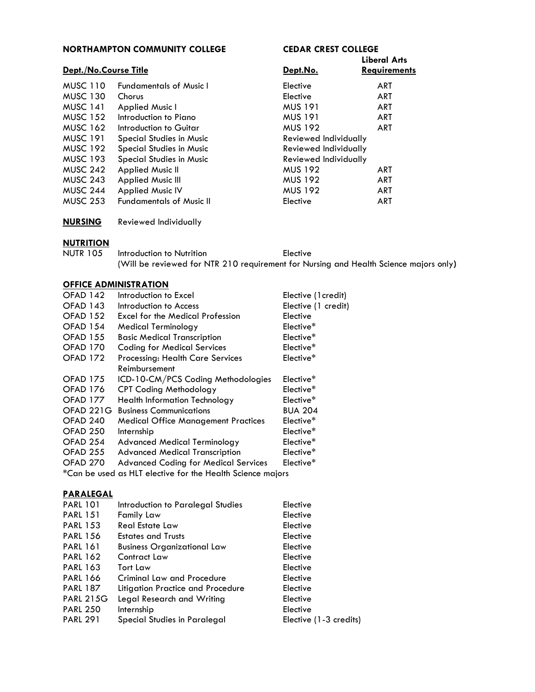| <b>NORTHAMPTON COMMUNITY COLLEGE</b> |                                 | <b>CEDAR CREST COLLEGE</b> |                     |  |
|--------------------------------------|---------------------------------|----------------------------|---------------------|--|
| Dept./No.Course Title                |                                 |                            | <b>Liberal Arts</b> |  |
|                                      |                                 | Dept.No.                   | <b>Requirements</b> |  |
| <b>MUSC 110</b>                      | <b>Fundamentals of Music I</b>  | Elective                   | ART                 |  |
| <b>MUSC 130</b>                      | Chorus                          | Elective                   | <b>ART</b>          |  |
| <b>MUSC 141</b>                      | Applied Music I                 | <b>MUS 191</b>             | <b>ART</b>          |  |
| <b>MUSC 152</b>                      | Introduction to Piano           | <b>MUS 191</b>             | <b>ART</b>          |  |
| <b>MUSC 162</b>                      | Introduction to Guitar          | <b>MUS 192</b>             | ART                 |  |
| <b>MUSC 191</b>                      | <b>Special Studies in Music</b> | Reviewed Individually      |                     |  |
| <b>MUSC 192</b>                      | <b>Special Studies in Music</b> | Reviewed Individually      |                     |  |
| <b>MUSC 193</b>                      | Special Studies in Music        | Reviewed Individually      |                     |  |
| <b>MUSC 242</b>                      | <b>Applied Music II</b>         | <b>MUS 192</b>             | <b>ART</b>          |  |
| <b>MUSC 243</b>                      | <b>Applied Music III</b>        | <b>MUS 192</b>             | ART                 |  |
| <b>MUSC 244</b>                      | <b>Applied Music IV</b>         | <b>MUS 192</b>             | <b>ART</b>          |  |
| <b>MUSC 253</b>                      | <b>Fundamentals of Music II</b> | Elective                   | <b>ART</b>          |  |
|                                      |                                 |                            |                     |  |

**[NURSING](http://catalog.northampton.edu/course-descriptions/nursing-(nurs).htm)** Reviewed Individually

# **[NUTRITION](http://catalog.northampton.edu/course-descriptions/nutrition-(nutr).htm)**

| <b>NUTR 105</b> | Introduction to Nutrition | Elective                                                                              |  |
|-----------------|---------------------------|---------------------------------------------------------------------------------------|--|
|                 |                           | (Will be reviewed for NTR 210 requirement for Nursing and Health Science majors only) |  |

## **[OFFICE ADMINISTRATION](http://catalog.northampton.edu/course-descriptions/office-administration-(ofad).htm)**

| OFAD 142         | Introduction to Excel                                      | Elective (1credit)  |
|------------------|------------------------------------------------------------|---------------------|
| OFAD 143         | Introduction to Access                                     | Elective (1 credit) |
| <b>OFAD 152</b>  | Excel for the Medical Profession                           | Elective            |
| <b>OFAD 154</b>  | <b>Medical Terminology</b>                                 | Elective*           |
| <b>OFAD 155</b>  | <b>Basic Medical Transcription</b>                         | Elective*           |
| <b>OFAD 170</b>  | <b>Coding for Medical Services</b>                         | Elective*           |
| <b>OFAD 172</b>  | <b>Processing: Health Care Services</b>                    | Elective*           |
|                  | Reimbursement                                              |                     |
| <b>OFAD 175</b>  | ICD-10-CM/PCS Coding Methodologies                         | Elective*           |
| <b>OFAD 176</b>  | <b>CPT Coding Methodology</b>                              | Elective*           |
| <b>OFAD 177</b>  | <b>Health Information Technology</b>                       | Elective*           |
| <b>OFAD 221G</b> | <b>Business Communications</b>                             | <b>BUA 204</b>      |
| OFAD 240         | <b>Medical Office Management Practices</b>                 | Elective*           |
| OFAD 250         | Internship                                                 | Elective*           |
| OFAD 254         | <b>Advanced Medical Terminology</b>                        | Elective*           |
| OFAD 255         | <b>Advanced Medical Transcription</b>                      | Elective*           |
| OFAD 270         | <b>Advanced Coding for Medical Services</b>                | Elective*           |
|                  | *Can be used as HLT elective for the Health Science majors |                     |

## **[PARALEGAL](http://catalog.northampton.edu/course-descriptions/paralegal-(parl).htm)**

| <b>PARL 101</b>  | Introduction to Paralegal Studies  | Elective               |
|------------------|------------------------------------|------------------------|
| <b>PARL 151</b>  | Family Law                         | Elective               |
| <b>PARL 153</b>  | <b>Real Estate Law</b>             | Elective               |
| <b>PARL 156</b>  | <b>Estates and Trusts</b>          | Elective               |
| <b>PARL 161</b>  | <b>Business Organizational Law</b> | Elective               |
| <b>PARL 162</b>  | Contract Law                       | Elective               |
| <b>PARL 163</b>  | Tort Law                           | Elective               |
| <b>PARL 166</b>  | Criminal Law and Procedure         | Elective               |
| <b>PARL 187</b>  | Litigation Practice and Procedure  | Elective               |
| <b>PARL 215G</b> | Legal Research and Writing         | Elective               |
| <b>PARL 250</b>  | Internship                         | Elective               |
| <b>PARL 291</b>  | Special Studies in Paralegal       | Elective (1-3 credits) |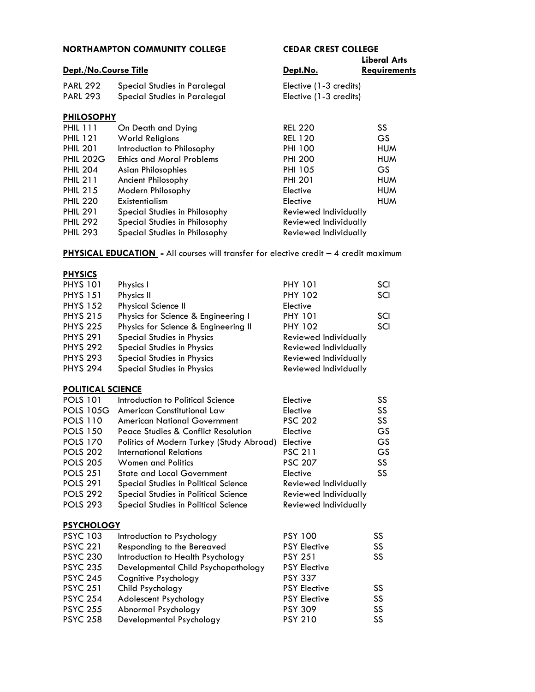| <b>NORTHAMPTON COMMUNITY COLLEGE</b> |                        | <b>CEDAR CREST COLLEGE</b>                                               |  |
|--------------------------------------|------------------------|--------------------------------------------------------------------------|--|
|                                      |                        | Liberal Arts                                                             |  |
| Dept./No.Course Title                | Dept.No.               | <b>Requirements</b>                                                      |  |
| Special Studies in Paralegal         | Elective (1-3 credits) |                                                                          |  |
| Special Studies in Paralegal         |                        |                                                                          |  |
| <b>PHILOSOPHY</b>                    |                        |                                                                          |  |
| On Death and Dying                   | <b>REL 220</b>         | SS                                                                       |  |
| <b>World Religions</b>               | <b>REL 120</b>         | <b>GS</b>                                                                |  |
| Introduction to Philosophy           | <b>PHI 100</b>         | <b>HUM</b>                                                               |  |
| <b>Ethics and Moral Problems</b>     | <b>PHI 200</b>         | <b>HUM</b>                                                               |  |
| <b>Asian Philosophies</b>            | <b>PHI 105</b>         | GS.                                                                      |  |
| Ancient Philosophy                   | <b>PHI 201</b>         | <b>HUM</b>                                                               |  |
| Modern Philosophy                    | Elective               | <b>HUM</b>                                                               |  |
| Existentialism                       | Elective               | <b>HUM</b>                                                               |  |
| Special Studies in Philosophy        |                        |                                                                          |  |
| Special Studies in Philosophy        |                        |                                                                          |  |
| Special Studies in Philosophy        | Reviewed Individually  |                                                                          |  |
|                                      |                        | Elective (1-3 credits)<br>Reviewed Individually<br>Reviewed Individually |  |

# **PHYSICAL EDUCATION** - All courses will transfer for elective credit – 4 credit maximum

### **[PHYSICS](http://catalog.northampton.edu/course-descriptions/physics-(phys).htm)**

| Physics I                            | <b>PHY 101</b>               | SCI |
|--------------------------------------|------------------------------|-----|
| Physics II                           | <b>PHY 102</b>               | SCI |
| <b>Physical Science II</b>           | Elective                     |     |
| Physics for Science & Engineering I  | <b>PHY 101</b>               | SCI |
| Physics for Science & Engineering II | <b>PHY 102</b>               | SCI |
| Special Studies in Physics           | <b>Reviewed Individually</b> |     |
| <b>Special Studies in Physics</b>    | Reviewed Individually        |     |
| <b>Special Studies in Physics</b>    | Reviewed Individually        |     |
| <b>Special Studies in Physics</b>    | <b>Reviewed Individually</b> |     |
|                                      |                              |     |

### **[POLITICAL SCIENCE](http://catalog.northampton.edu/course-descriptions/political-science-(pols).htm)**

| <b>POLS 101</b>   | Introduction to Political Science        | Elective                     | SS |
|-------------------|------------------------------------------|------------------------------|----|
| <b>POLS 105G</b>  | American Constitutional Law              | Elective                     | SS |
| <b>POLS 110</b>   | American National Government             | <b>PSC 202</b>               | SS |
| <b>POLS 150</b>   | Peace Studies & Conflict Resolution      | Elective                     | GS |
| <b>POLS 170</b>   | Politics of Modern Turkey (Study Abroad) | Elective                     | GS |
| <b>POLS 202</b>   | International Relations                  | <b>PSC 211</b>               | GS |
| <b>POLS 205</b>   | <b>Women and Politics</b>                | <b>PSC 207</b>               | SS |
| <b>POLS 251</b>   | <b>State and Local Government</b>        | Elective                     | SS |
| <b>POLS 291</b>   | Special Studies in Political Science     | Reviewed Individually        |    |
| <b>POLS 292</b>   | Special Studies in Political Science     | Reviewed Individually        |    |
| <b>POLS 293</b>   | Special Studies in Political Science     | <b>Reviewed Individually</b> |    |
| <b>PSYCHOLOGY</b> |                                          |                              |    |
| <b>PSYC 103</b>   | Introduction to Psychology               | <b>PSY 100</b>               | SS |
| <b>PSYC 221</b>   | Responding to the Bereaved               | <b>PSY Elective</b>          | SS |
| <b>PSYC 230</b>   | Introduction to Health Psychology        | <b>PSY 251</b>               | SS |
| <b>PSYC 235</b>   | Developmental Child Psychopathology      | <b>PSY Elective</b>          |    |
| <b>PSYC 245</b>   | Cognitive Psychology                     | <b>PSY 337</b>               |    |
| <b>PSYC 251</b>   | Child Psychology                         | <b>PSY Elective</b>          | SS |
| <b>PSYC 254</b>   | Adolescent Psychology                    | <b>PSY Elective</b>          | SS |

PSYC 254 Adolescent Psychology PSY Elective SS<br>
PSYC 255 Abnormal Psychology PSY 309 SS PSYC 255 Abnormal Psychology PSY 309 SS<br>
PSYC 258 Developmental Psychology PSY 210 SS

Developmental Psychology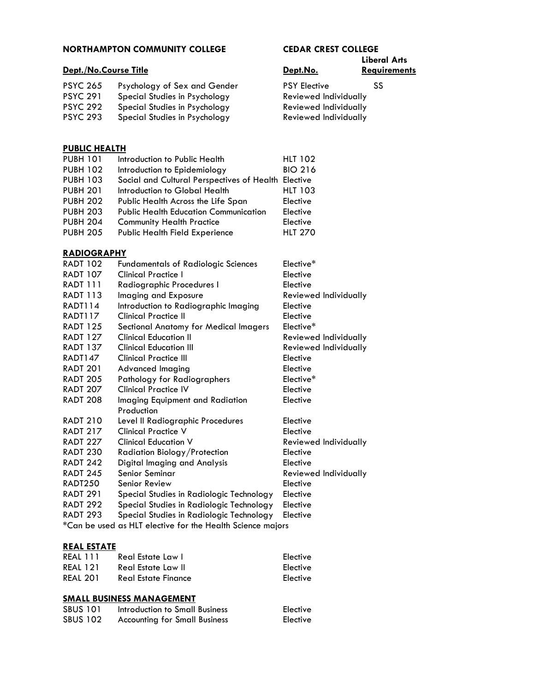### **Liberal Arts Dept./No.Course Title Contract Contract Contract Persons Contract Persons Requirements** PSYC 265 Psychology of Sex and Gender PSY Elective SS PSYC 291 Special Studies in Psychology Reviewed Individually PSYC 292 Special Studies in Psychology Reviewed Individually PSYC 293 Special Studies in Psychology Reviewed Individually **[PUBLIC HEALTH](http://catalog.northampton.edu/course-descriptions/public-health-(pubh).htm)** PUBH 101 Introduction to Public Health HLT 102 PUBH 102 Introduction to Epidemiology BIO 216 PUBH 103 Social and Cultural Perspectives of Health Elective PUBH 201 Introduction to Global Health HLT 103 PUBH 202 Public Health Across the Life Span Elective PUBH 203 Public Health Education Communication Elective PUBH 204 Community Health Practice Elective PUBH 205 Public Health Field Experience HLT 270 **[RADIOGRAPHY](http://catalog.northampton.edu/course-descriptions/radiography-(radt).htm)** RADT 102 Fundamentals of Radiologic Sciences Elective\* RADT 107 Clinical Practice I Elective RADT 111 Radiographic Procedures I Elective RADT 113 Imaging and Exposure Reviewed Individually RADT114 Introduction to Radiographic Imaging Elective RADT117 Clinical Practice II Elective RADT 125 Sectional Anatomy for Medical Imagers Elective\* RADT 127 Clinical Education II Reviewed Individually RADT 137 Clinical Education III Reviewed Individually RADT147 Clinical Practice III **Elective** RADT 201 Advanced Imaging The Contract Elective RADT 205 Pathology for Radiographers Elective\* RADT 207 Clinical Practice IV Elective RADT 208 Imaging Equipment and Radiation Elective Production RADT 210 Level II Radiographic Procedures Elective RADT 217 Clinical Practice V Elective RADT 227 Clinical Education V Reviewed Individually RADT 230 Radiation Biology/Protection Elective RADT 242 Digital Imaging and Analysis Elective RADT 245 Senior Seminar Reviewed Individually RADT250 Senior Review **Elective** RADT 291 Special Studies in Radiologic Technology Elective RADT 292 Special Studies in Radiologic Technology Elective

\*Can be used as HLT elective for the Health Science majors

#### **[REAL ESTATE](http://catalog.northampton.edu/course-descriptions/real-estate-%28real%29.htm)**

| REAL 111        | Real Estate Law I   | Elective |
|-----------------|---------------------|----------|
| <b>REAL 121</b> | Real Estate Law II  | Elective |
| <b>REAL 201</b> | Real Estate Finance | Elective |

RADT 293 Special Studies in Radiologic Technology Elective

#### **[SMALL BUSINESS MANAGEMENT](http://catalog.northampton.edu/course-descriptions/small-business-management-%28sbus%29.htm)**

| <b>SBUS 101</b> | Introduction to Small Business       | Elective |
|-----------------|--------------------------------------|----------|
| <b>SBUS 102</b> | <b>Accounting for Small Business</b> | Elective |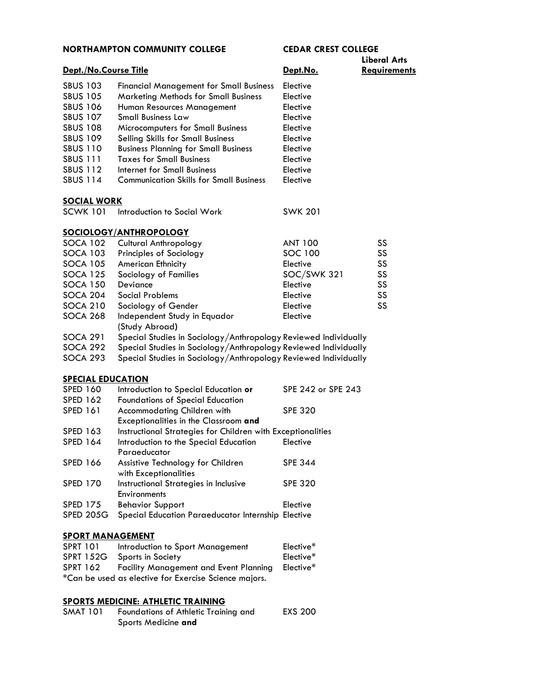|                          |                                                                 |                    | <b>Liberal Arts</b> |
|--------------------------|-----------------------------------------------------------------|--------------------|---------------------|
| Dept./No.Course Title    |                                                                 | Dept.No.           | <b>Requirements</b> |
| <b>SBUS 103</b>          | <b>Financial Management for Small Business</b>                  | Elective           |                     |
| <b>SBUS 105</b>          | <b>Marketing Methods for Small Business</b>                     | Elective           |                     |
| <b>SBUS 106</b>          | Human Resources Management                                      | Elective           |                     |
| <b>SBUS 107</b>          | <b>Small Business Law</b>                                       | Elective           |                     |
| <b>SBUS 108</b>          | Microcomputers for Small Business                               | Elective           |                     |
| <b>SBUS 109</b>          | Selling Skills for Small Business                               | Elective           |                     |
| <b>SBUS 110</b>          | <b>Business Planning for Small Business</b>                     | Elective           |                     |
| <b>SBUS 111</b>          | <b>Taxes for Small Business</b>                                 | Elective           |                     |
| <b>SBUS 112</b>          | Internet for Small Business                                     | Elective           |                     |
| <b>SBUS 114</b>          | <b>Communication Skills for Small Business</b>                  | Elective           |                     |
| <b>SOCIAL WORK</b>       |                                                                 |                    |                     |
| <b>SCWK 101</b>          | Introduction to Social Work                                     | <b>SWK 201</b>     |                     |
|                          | SOCIOLOGY/ANTHROPOLOGY                                          |                    |                     |
| <b>SOCA 102</b>          | <b>Cultural Anthropology</b>                                    | <b>ANT 100</b>     | SS                  |
| <b>SOCA 103</b>          | Principles of Sociology                                         | <b>SOC 100</b>     | SS                  |
| <b>SOCA 105</b>          | <b>American Ethnicity</b>                                       | Elective           | SS                  |
| <b>SOCA 125</b>          | Sociology of Families                                           | SOC/SWK 321        | SS                  |
| <b>SOCA 150</b>          | Deviance                                                        | Elective           | SS                  |
| <b>SOCA 204</b>          | Social Problems                                                 | Elective           | SS                  |
| <b>SOCA 210</b>          | Sociology of Gender                                             | Elective           | SS                  |
| <b>SOCA 268</b>          | Independent Study in Equador                                    | Elective           |                     |
|                          | (Study Abroad)                                                  |                    |                     |
| <b>SOCA 291</b>          | Special Studies in Sociology/Anthropology Reviewed Individually |                    |                     |
| <b>SOCA 292</b>          | Special Studies in Sociology/Anthropology Reviewed Individually |                    |                     |
| <b>SOCA 293</b>          | Special Studies in Sociology/Anthropology Reviewed Individually |                    |                     |
| <b>SPECIAL EDUCATION</b> |                                                                 |                    |                     |
| <b>SPED 160</b>          | Introduction to Special Education or                            | SPE 242 or SPE 243 |                     |
| <b>SPED 162</b>          | <b>Foundations of Special Education</b>                         |                    |                     |
| SPED 161                 | Accommodating Children with                                     | <b>SPE 320</b>     |                     |
|                          | Exceptionalities in the Classroom and                           |                    |                     |
| <b>SPED 163</b>          | Instructional Strategies for Children with Exceptionalities     |                    |                     |
| <b>SPED 164</b>          | Introduction to the Special Education<br>Paraeducator           | Elective           |                     |
| <b>SPED 166</b>          | Assistive Technology for Children                               | <b>SPE 344</b>     |                     |
|                          | with Exceptionalities                                           |                    |                     |
| <b>SPED 170</b>          | Instructional Strategies in Inclusive<br><b>Environments</b>    | <b>SPE 320</b>     |                     |
| <b>SPED 175</b>          | <b>Behavior Support</b>                                         | Elective           |                     |
| <b>SPED 205G</b>         | Special Education Paraeducator Internship Elective              |                    |                     |
| <b>SPORT MANAGEMENT</b>  |                                                                 |                    |                     |
| <b>SPRT 101</b>          | Introduction to Sport Management                                | Elective*          |                     |
| <b>SPRT 152G</b>         | Sports in Society                                               | Elective*          |                     |
| <b>SPRT 162</b>          | <b>Facility Management and Event Planning</b>                   | Elective*          |                     |
|                          | *Can be used as elective for Exercise Science majors.           |                    |                     |

#### **[SPORTS MEDICINE: ATHLETIC TRAINING](http://catalog.northampton.edu/Course-Descriptions/Sports-Medicine-Athletic-Training-(SMAT).htm)**

SMAT 101 Foundations of Athletic Training and EXS 200 Sports Medicine **and**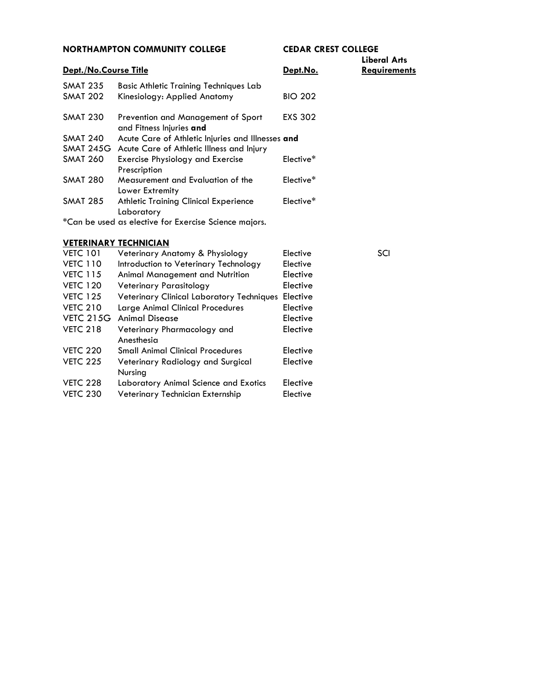| <b>NORTHAMPTON COMMUNITY COLLEGE</b> |                                                                | <b>CEDAR CREST COLLEGE</b> |              |
|--------------------------------------|----------------------------------------------------------------|----------------------------|--------------|
|                                      |                                                                |                            | Liberal Arts |
| Dept./No.Course Title                |                                                                | Dept.No.                   | Requirements |
| <b>SMAT 235</b>                      | <b>Basic Athletic Training Techniques Lab</b>                  |                            |              |
| <b>SMAT 202</b>                      | Kinesiology: Applied Anatomy                                   | <b>BIO 202</b>             |              |
| <b>SMAT 230</b>                      | Prevention and Management of Sport<br>and Fitness Injuries and | EXS 302                    |              |
| <b>SMAT 240</b>                      | Acute Care of Athletic Injuries and Illnesses and              |                            |              |
|                                      | SMAT 245G Acute Care of Athletic Illness and Injury            |                            |              |
| <b>SMAT 260</b>                      | Exercise Physiology and Exercise<br>Prescription               | Elective*                  |              |
| <b>SMAT 280</b>                      | Measurement and Evaluation of the<br>Lower Extremity           | Elective*                  |              |
| <b>SMAT 285</b>                      | <b>Athletic Training Clinical Experience</b><br>Laboratory     | Elective*                  |              |
|                                      | *Can be used as elective for Exercise Science majors.          |                            |              |
|                                      | <b>VETERINARY TECHNICIAN</b>                                   |                            |              |

#### VETC 101 Veterinary Anatomy & Physiology Elective SCI VETC 110 Introduction to Veterinary Technology Elective VETC 115 Animal Management and Nutrition Elective VETC 120 Veterinary Parasitology Elective VETC 125 Veterinary Clinical Laboratory Techniques Elective VETC 210 Large Animal Clinical Procedures Elective VETC 215G Animal Disease **Elective** VETC 218 Veterinary Pharmacology and Elective Anesthesia VETC 220 Small Animal Clinical Procedures Elective VETC 225 Veterinary Radiology and Surgical Elective Nursing VETC 228 Laboratory Animal Science and Exotics Elective VETC 230 Veterinary Technician Externship Elective